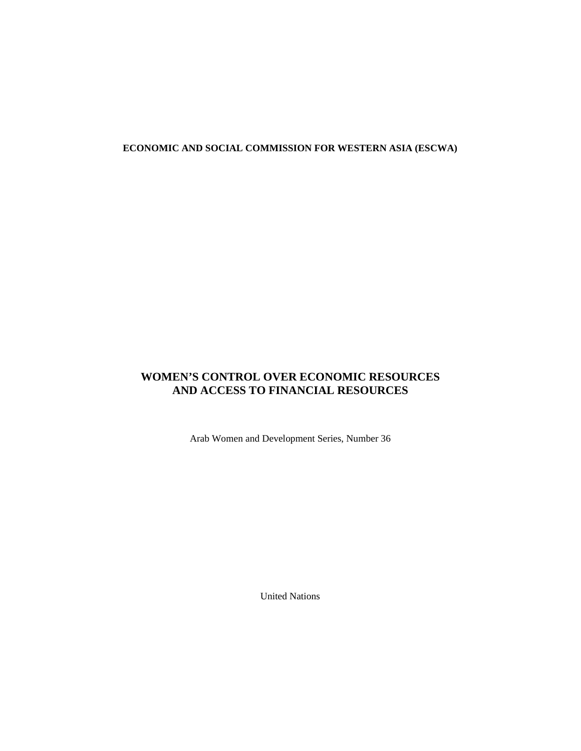# **ECONOMIC AND SOCIAL COMMISSION FOR WESTERN ASIA (ESCWA)**

# **WOMEN'S CONTROL OVER ECONOMIC RESOURCES AND ACCESS TO FINANCIAL RESOURCES**

Arab Women and Development Series, Number 36

United Nations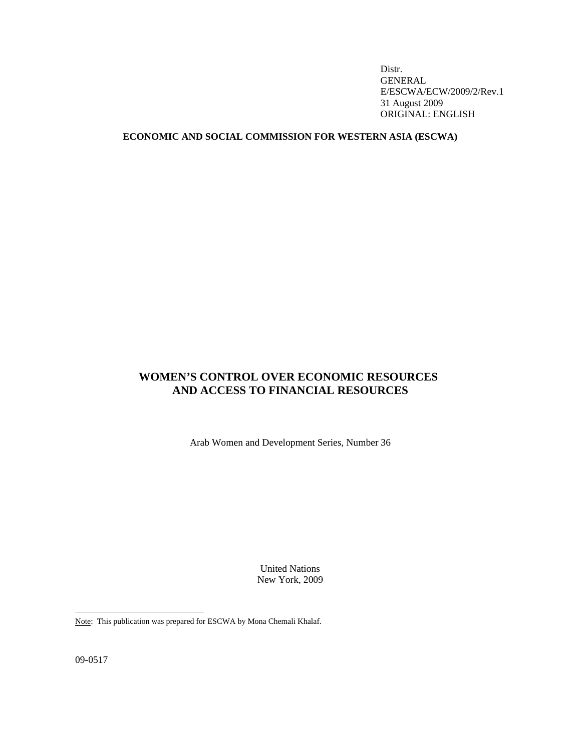Distr. GENERAL E/ESCWA/ECW/2009/2/Rev.1 31 August 2009 ORIGINAL: ENGLISH

# **ECONOMIC AND SOCIAL COMMISSION FOR WESTERN ASIA (ESCWA)**

# **WOMEN'S CONTROL OVER ECONOMIC RESOURCES\* AND ACCESS TO FINANCIAL RESOURCES**

Arab Women and Development Series, Number 36

United Nations New York, 2009

Note: This publication was prepared for ESCWA by Mona Chemali Khalaf.

09-0517

 $\overline{a}$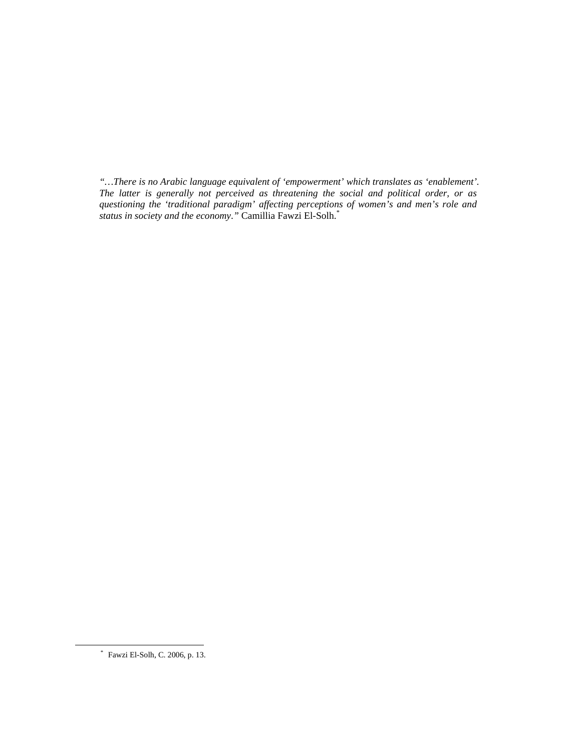*"…There is no Arabic language equivalent of 'empowerment' which translates as 'enablement'. The latter is generally not perceived as threatening the social and political order, or as questioning the 'traditional paradigm' affecting perceptions of women's and men's role and status in society and the economy*.*"* Camillia Fawzi El-Solh.\*

 <sup>\*</sup> Fawzi El-Solh, C. 2006, p. 13.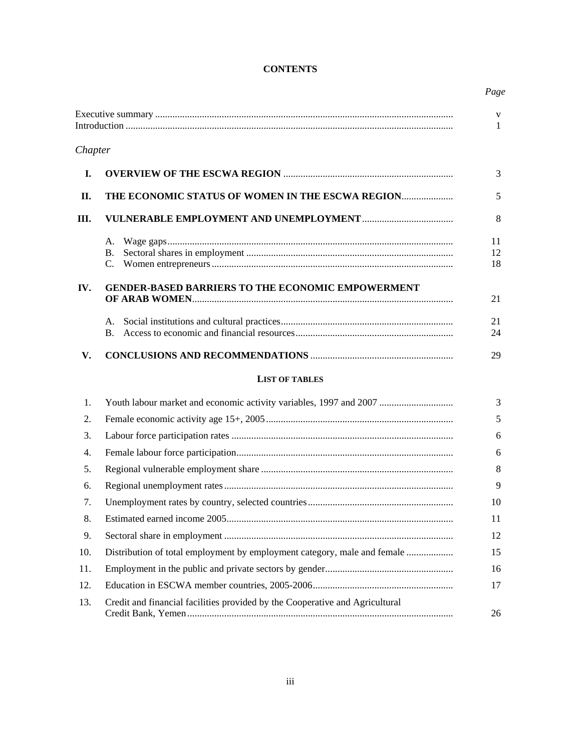# **CONTENTS**

|         |                                                                              | V<br>1         |
|---------|------------------------------------------------------------------------------|----------------|
| Chapter |                                                                              |                |
| I.      |                                                                              | 3              |
| II.     | THE ECONOMIC STATUS OF WOMEN IN THE ESCWA REGION                             | 5              |
| Ш.      |                                                                              | 8              |
|         | А.<br><b>B.</b><br>C.                                                        | 11<br>12<br>18 |
| IV.     | <b>GENDER-BASED BARRIERS TO THE ECONOMIC EMPOWERMENT</b>                     | 21             |
|         | А.<br>B.                                                                     | 21<br>24       |
| V.      |                                                                              | 29             |
|         | <b>LIST OF TABLES</b>                                                        |                |
| 1.      | Youth labour market and economic activity variables, 1997 and 2007           | 3              |
| 2.      |                                                                              | 5              |
| 3.      |                                                                              | 6              |
| 4.      |                                                                              | 6              |
| 5.      |                                                                              | 8              |
| 6.      |                                                                              | 9              |
| 7.      |                                                                              | 10             |
| 8.      |                                                                              | 11             |
| 9.      |                                                                              | 12             |
| 10.     | Distribution of total employment by employment category, male and female     | 15             |
| 11.     |                                                                              | 16             |
| 12.     |                                                                              | 17             |
| 13.     | Credit and financial facilities provided by the Cooperative and Agricultural | 26             |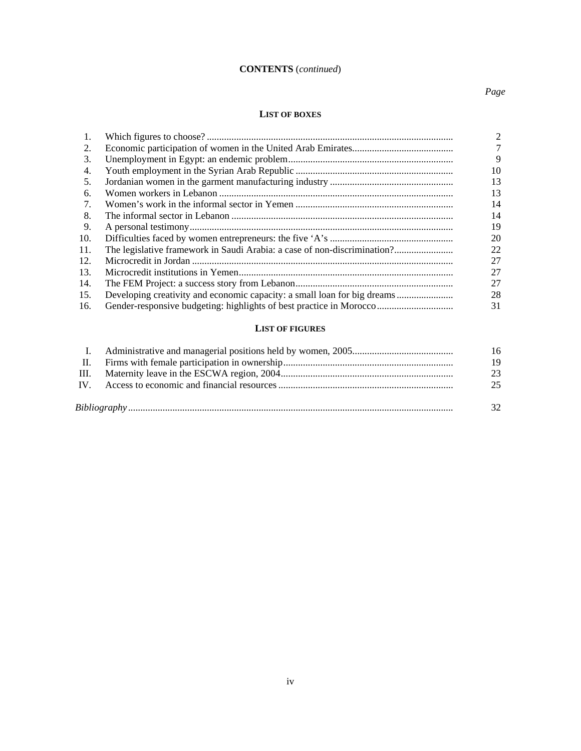# **CONTENTS** (*continued*)

# *Page*

## **LIST OF BOXES**

| 1.  |                                                                          | $\mathfrak{D}$ |
|-----|--------------------------------------------------------------------------|----------------|
| 2.  |                                                                          |                |
| 3.  |                                                                          | 9              |
| 4.  |                                                                          | 10             |
| 5.  |                                                                          | 13             |
| 6.  |                                                                          | 13             |
| 7.  |                                                                          | 14             |
| 8.  |                                                                          | 14             |
| 9.  |                                                                          | 19             |
| 10. |                                                                          | 20             |
| 11. | The legislative framework in Saudi Arabia: a case of non-discrimination? | 22             |
| 12. |                                                                          | 27             |
| 13. |                                                                          | 27             |
| 14. |                                                                          | 27             |
| 15. | Developing creativity and economic capacity: a small loan for big dreams | 28             |
| 16. |                                                                          | 31             |

# **LIST OF FIGURES**

|  | 16 |
|--|----|
|  | 19 |
|  | 23 |
|  | 25 |
|  | 32 |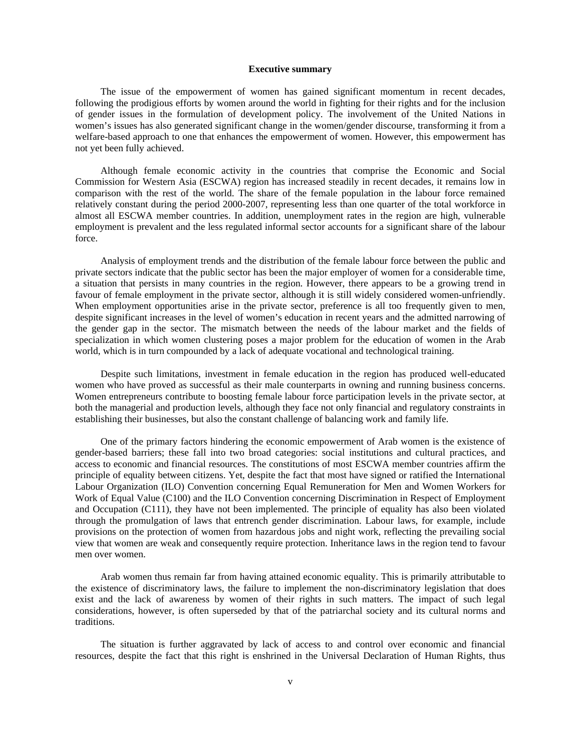### **Executive summary**

 The issue of the empowerment of women has gained significant momentum in recent decades, following the prodigious efforts by women around the world in fighting for their rights and for the inclusion of gender issues in the formulation of development policy. The involvement of the United Nations in women's issues has also generated significant change in the women/gender discourse, transforming it from a welfare-based approach to one that enhances the empowerment of women. However, this empowerment has not yet been fully achieved.

 Although female economic activity in the countries that comprise the Economic and Social Commission for Western Asia (ESCWA) region has increased steadily in recent decades, it remains low in comparison with the rest of the world. The share of the female population in the labour force remained relatively constant during the period 2000-2007, representing less than one quarter of the total workforce in almost all ESCWA member countries. In addition, unemployment rates in the region are high, vulnerable employment is prevalent and the less regulated informal sector accounts for a significant share of the labour force.

 Analysis of employment trends and the distribution of the female labour force between the public and private sectors indicate that the public sector has been the major employer of women for a considerable time, a situation that persists in many countries in the region. However, there appears to be a growing trend in favour of female employment in the private sector, although it is still widely considered women-unfriendly. When employment opportunities arise in the private sector, preference is all too frequently given to men, despite significant increases in the level of women's education in recent years and the admitted narrowing of the gender gap in the sector. The mismatch between the needs of the labour market and the fields of specialization in which women clustering poses a major problem for the education of women in the Arab world, which is in turn compounded by a lack of adequate vocational and technological training.

 Despite such limitations, investment in female education in the region has produced well-educated women who have proved as successful as their male counterparts in owning and running business concerns. Women entrepreneurs contribute to boosting female labour force participation levels in the private sector, at both the managerial and production levels, although they face not only financial and regulatory constraints in establishing their businesses, but also the constant challenge of balancing work and family life.

 One of the primary factors hindering the economic empowerment of Arab women is the existence of gender-based barriers; these fall into two broad categories: social institutions and cultural practices, and access to economic and financial resources. The constitutions of most ESCWA member countries affirm the principle of equality between citizens. Yet, despite the fact that most have signed or ratified the International Labour Organization (ILO) Convention concerning Equal Remuneration for Men and Women Workers for Work of Equal Value (C100) and the ILO Convention concerning Discrimination in Respect of Employment and Occupation (C111), they have not been implemented. The principle of equality has also been violated through the promulgation of laws that entrench gender discrimination. Labour laws, for example, include provisions on the protection of women from hazardous jobs and night work, reflecting the prevailing social view that women are weak and consequently require protection. Inheritance laws in the region tend to favour men over women.

 Arab women thus remain far from having attained economic equality. This is primarily attributable to the existence of discriminatory laws, the failure to implement the non-discriminatory legislation that does exist and the lack of awareness by women of their rights in such matters. The impact of such legal considerations, however, is often superseded by that of the patriarchal society and its cultural norms and traditions.

 The situation is further aggravated by lack of access to and control over economic and financial resources, despite the fact that this right is enshrined in the Universal Declaration of Human Rights, thus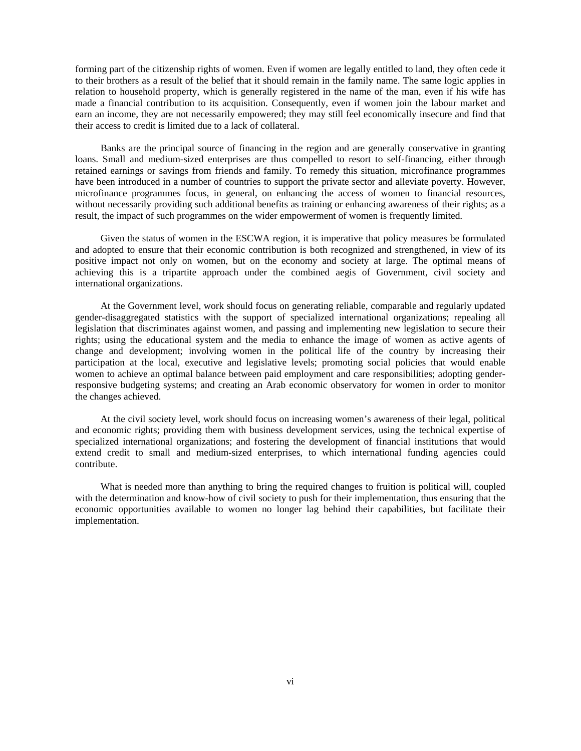forming part of the citizenship rights of women. Even if women are legally entitled to land, they often cede it to their brothers as a result of the belief that it should remain in the family name. The same logic applies in relation to household property, which is generally registered in the name of the man, even if his wife has made a financial contribution to its acquisition. Consequently, even if women join the labour market and earn an income, they are not necessarily empowered; they may still feel economically insecure and find that their access to credit is limited due to a lack of collateral.

 Banks are the principal source of financing in the region and are generally conservative in granting loans. Small and medium-sized enterprises are thus compelled to resort to self-financing, either through retained earnings or savings from friends and family. To remedy this situation, microfinance programmes have been introduced in a number of countries to support the private sector and alleviate poverty. However, microfinance programmes focus, in general, on enhancing the access of women to financial resources, without necessarily providing such additional benefits as training or enhancing awareness of their rights; as a result, the impact of such programmes on the wider empowerment of women is frequently limited.

 Given the status of women in the ESCWA region, it is imperative that policy measures be formulated and adopted to ensure that their economic contribution is both recognized and strengthened, in view of its positive impact not only on women, but on the economy and society at large. The optimal means of achieving this is a tripartite approach under the combined aegis of Government, civil society and international organizations.

 At the Government level, work should focus on generating reliable, comparable and regularly updated gender-disaggregated statistics with the support of specialized international organizations; repealing all legislation that discriminates against women, and passing and implementing new legislation to secure their rights; using the educational system and the media to enhance the image of women as active agents of change and development; involving women in the political life of the country by increasing their participation at the local, executive and legislative levels; promoting social policies that would enable women to achieve an optimal balance between paid employment and care responsibilities; adopting genderresponsive budgeting systems; and creating an Arab economic observatory for women in order to monitor the changes achieved.

 At the civil society level, work should focus on increasing women's awareness of their legal, political and economic rights; providing them with business development services, using the technical expertise of specialized international organizations; and fostering the development of financial institutions that would extend credit to small and medium-sized enterprises, to which international funding agencies could contribute.

 What is needed more than anything to bring the required changes to fruition is political will, coupled with the determination and know-how of civil society to push for their implementation, thus ensuring that the economic opportunities available to women no longer lag behind their capabilities, but facilitate their implementation.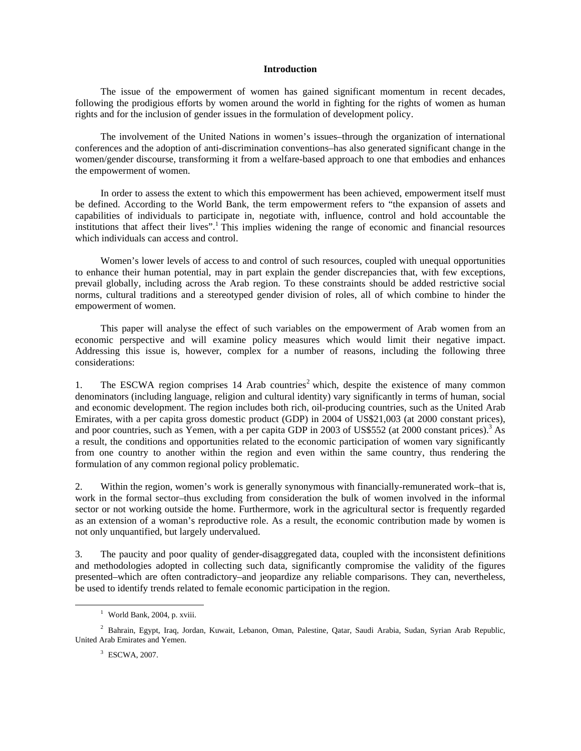### **Introduction**

 The issue of the empowerment of women has gained significant momentum in recent decades, following the prodigious efforts by women around the world in fighting for the rights of women as human rights and for the inclusion of gender issues in the formulation of development policy.

 The involvement of the United Nations in women's issues–through the organization of international conferences and the adoption of anti-discrimination conventions–has also generated significant change in the women/gender discourse, transforming it from a welfare-based approach to one that embodies and enhances the empowerment of women.

 In order to assess the extent to which this empowerment has been achieved, empowerment itself must be defined. According to the World Bank, the term empowerment refers to "the expansion of assets and capabilities of individuals to participate in, negotiate with, influence, control and hold accountable the institutions that affect their lives".<sup>1</sup> This implies widening the range of economic and financial resources which individuals can access and control.

 Women's lower levels of access to and control of such resources, coupled with unequal opportunities to enhance their human potential, may in part explain the gender discrepancies that, with few exceptions, prevail globally, including across the Arab region. To these constraints should be added restrictive social norms, cultural traditions and a stereotyped gender division of roles, all of which combine to hinder the empowerment of women.

 This paper will analyse the effect of such variables on the empowerment of Arab women from an economic perspective and will examine policy measures which would limit their negative impact. Addressing this issue is, however, complex for a number of reasons, including the following three considerations:

1. The ESCWA region comprises 14 Arab countries<sup>2</sup> which, despite the existence of many common denominators (including language, religion and cultural identity) vary significantly in terms of human, social and economic development. The region includes both rich, oil-producing countries, such as the United Arab Emirates, with a per capita gross domestic product (GDP) in 2004 of US\$21,003 (at 2000 constant prices), and poor countries, such as Yemen, with a per capita GDP in 2003 of US\$552 (at 2000 constant prices).<sup>3</sup> As a result, the conditions and opportunities related to the economic participation of women vary significantly from one country to another within the region and even within the same country, thus rendering the formulation of any common regional policy problematic.

2. Within the region, women's work is generally synonymous with financially-remunerated work–that is, work in the formal sector–thus excluding from consideration the bulk of women involved in the informal sector or not working outside the home. Furthermore, work in the agricultural sector is frequently regarded as an extension of a woman's reproductive role. As a result, the economic contribution made by women is not only unquantified, but largely undervalued.

3. The paucity and poor quality of gender-disaggregated data, coupled with the inconsistent definitions and methodologies adopted in collecting such data, significantly compromise the validity of the figures presented–which are often contradictory–and jeopardize any reliable comparisons. They can, nevertheless, be used to identify trends related to female economic participation in the region.

 $\frac{1}{1}$ <sup>1</sup> World Bank, 2004, p. xviii.

<sup>2</sup> Bahrain, Egypt, Iraq, Jordan, Kuwait, Lebanon, Oman, Palestine, Qatar, Saudi Arabia, Sudan, Syrian Arab Republic, United Arab Emirates and Yemen.

<sup>3</sup> ESCWA, 2007.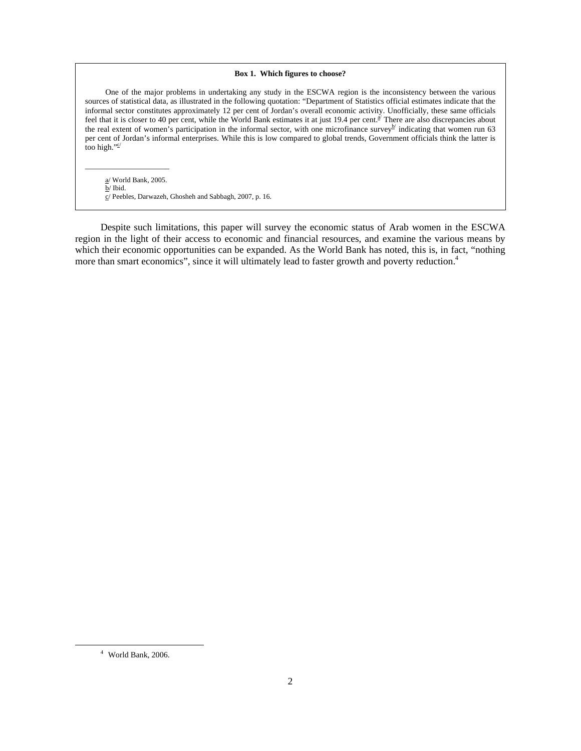#### **Box 1. Which figures to choose?**

 One of the major problems in undertaking any study in the ESCWA region is the inconsistency between the various sources of statistical data, as illustrated in the following quotation: "Department of Statistics official estimates indicate that the informal sector constitutes approximately 12 per cent of Jordan's overall economic activity. Unofficially, these same officials feel that it is closer to 40 per cent, while the World Bank estimates it at just 19.4 per cent.<sup> $\vec{x}$ </sup> There are also discrepancies about the real extent of women's participation in the informal sector, with one microfinance survey<sup>b'</sup> indicating that women run 63 per cent of Jordan's informal enterprises. While this is low compared to global trends, Government officials think the latter is too high." $e$ 

 a/ World Bank, 2005. b/ Ibid. c/ Peebles, Darwazeh, Ghosheh and Sabbagh, 2007, p. 16.

 $\overline{\phantom{a}}$  , and the set of the set of the set of the set of the set of the set of the set of the set of the set of the set of the set of the set of the set of the set of the set of the set of the set of the set of the s

 Despite such limitations, this paper will survey the economic status of Arab women in the ESCWA region in the light of their access to economic and financial resources, and examine the various means by which their economic opportunities can be expanded. As the World Bank has noted, this is, in fact, "nothing more than smart economics", since it will ultimately lead to faster growth and poverty reduction.<sup>4</sup>

 $\frac{1}{4}$ World Bank, 2006.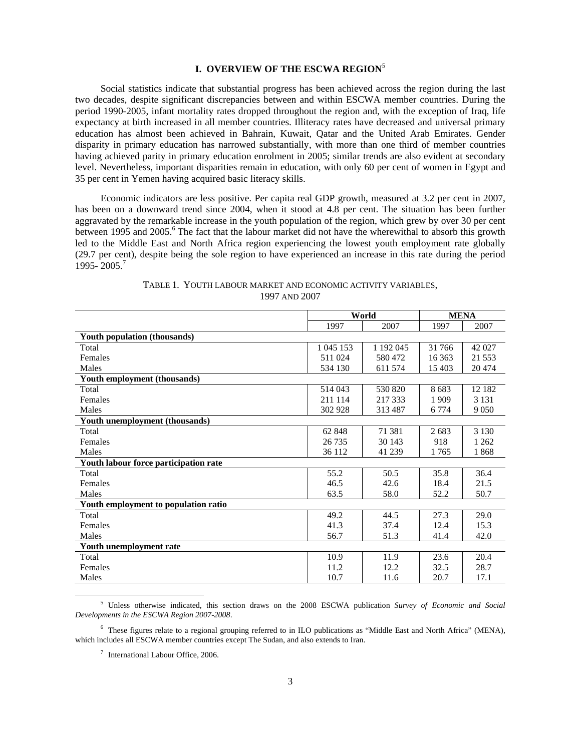# **I. OVERVIEW OF THE ESCWA REGION**<sup>5</sup>

 Social statistics indicate that substantial progress has been achieved across the region during the last two decades, despite significant discrepancies between and within ESCWA member countries. During the period 1990-2005, infant mortality rates dropped throughout the region and, with the exception of Iraq, life expectancy at birth increased in all member countries. Illiteracy rates have decreased and universal primary education has almost been achieved in Bahrain, Kuwait, Qatar and the United Arab Emirates. Gender disparity in primary education has narrowed substantially, with more than one third of member countries having achieved parity in primary education enrolment in 2005; similar trends are also evident at secondary level. Nevertheless, important disparities remain in education, with only 60 per cent of women in Egypt and 35 per cent in Yemen having acquired basic literacy skills.

 Economic indicators are less positive. Per capita real GDP growth, measured at 3.2 per cent in 2007, has been on a downward trend since 2004, when it stood at 4.8 per cent. The situation has been further aggravated by the remarkable increase in the youth population of the region, which grew by over 30 per cent between 1995 and 2005.<sup>6</sup> The fact that the labour market did not have the wherewithal to absorb this growth led to the Middle East and North Africa region experiencing the lowest youth employment rate globally (29.7 per cent), despite being the sole region to have experienced an increase in this rate during the period 1995- 2005.<sup>7</sup>

|                                       |           | World     |         | <b>MENA</b> |
|---------------------------------------|-----------|-----------|---------|-------------|
|                                       | 1997      | 2007      | 1997    | 2007        |
| Youth population (thousands)          |           |           |         |             |
| Total                                 | 1 045 153 | 1 192 045 | 31 766  | 42 027      |
| Females                               | 511 024   | 580 472   | 16 363  | 21 5 5 3    |
| Males                                 | 534 130   | 611 574   | 15 403  | 20 474      |
| Youth employment (thousands)          |           |           |         |             |
| Total                                 | 514 043   | 530 820   | 8683    | 12 182      |
| Females                               | 211 114   | 217 333   | 1909    | 3 1 3 1     |
| Males                                 | 302 928   | 313487    | 6 7 7 4 | 9 0 5 0     |
| Youth unemployment (thousands)        |           |           |         |             |
| Total                                 | 62 848    | 71 381    | 2683    | 3 1 3 0     |
| Females                               | 26 7 35   | 30 143    | 918     | 1 2 6 2     |
| Males                                 | 36 112    | 41 239    | 1765    | 1868        |
| Youth labour force participation rate |           |           |         |             |
| Total                                 | 55.2      | 50.5      | 35.8    | 36.4        |
| Females                               | 46.5      | 42.6      | 18.4    | 21.5        |
| Males                                 | 63.5      | 58.0      | 52.2    | 50.7        |
| Youth employment to population ratio  |           |           |         |             |
| Total                                 | 49.2      | 44.5      | 27.3    | 29.0        |
| Females                               | 41.3      | 37.4      | 12.4    | 15.3        |
| Males                                 | 56.7      | 51.3      | 41.4    | 42.0        |
| Youth unemployment rate               |           |           |         |             |
| Total                                 | 10.9      | 11.9      | 23.6    | 20.4        |
| Females                               | 11.2      | 12.2      | 32.5    | 28.7        |
| Males                                 | 10.7      | 11.6      | 20.7    | 17.1        |

### TABLE 1. YOUTH LABOUR MARKET AND ECONOMIC ACTIVITY VARIABLES, 1997 AND 2007

 $\frac{1}{5}$  Unless otherwise indicated, this section draws on the 2008 ESCWA publication *Survey of Economic and Social Developments in the ESCWA Region 2007-2008*.

<sup>&</sup>lt;sup>6</sup> These figures relate to a regional grouping referred to in ILO publications as "Middle East and North Africa" (MENA), which includes all ESCWA member countries except The Sudan, and also extends to Iran.

<sup>7</sup> International Labour Office, 2006.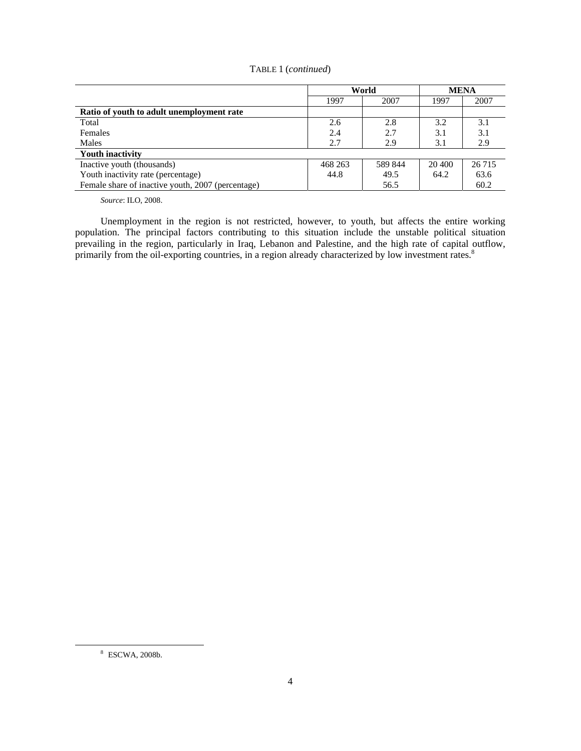# TABLE 1 (*continued*)

|                                                   |         | World   |        | <b>MENA</b> |  |
|---------------------------------------------------|---------|---------|--------|-------------|--|
|                                                   | 1997    | 2007    | 1997   | 2007        |  |
| Ratio of youth to adult unemployment rate         |         |         |        |             |  |
| Total                                             | 2.6     | 2.8     | 3.2    | 3.1         |  |
| Females                                           | 2.4     | 2.7     | 3.1    | 3.1         |  |
| Males                                             | 2.7     | 2.9     | 3.1    | 2.9         |  |
| <b>Youth inactivity</b>                           |         |         |        |             |  |
| Inactive youth (thousands)                        | 468 263 | 589 844 | 20 400 | 26 7 15     |  |
| Youth inactivity rate (percentage)                | 44.8    | 49.5    | 64.2   | 63.6        |  |
| Female share of inactive youth, 2007 (percentage) |         | 56.5    |        | 60.2        |  |

 *Source*: ILO, 2008.

 Unemployment in the region is not restricted, however, to youth, but affects the entire working population. The principal factors contributing to this situation include the unstable political situation prevailing in the region, particularly in Iraq, Lebanon and Palestine, and the high rate of capital outflow, primarily from the oil-exporting countries, in a region already characterized by low investment rates.<sup>8</sup>

 $\frac{8}{3}$ ESCWA, 2008b.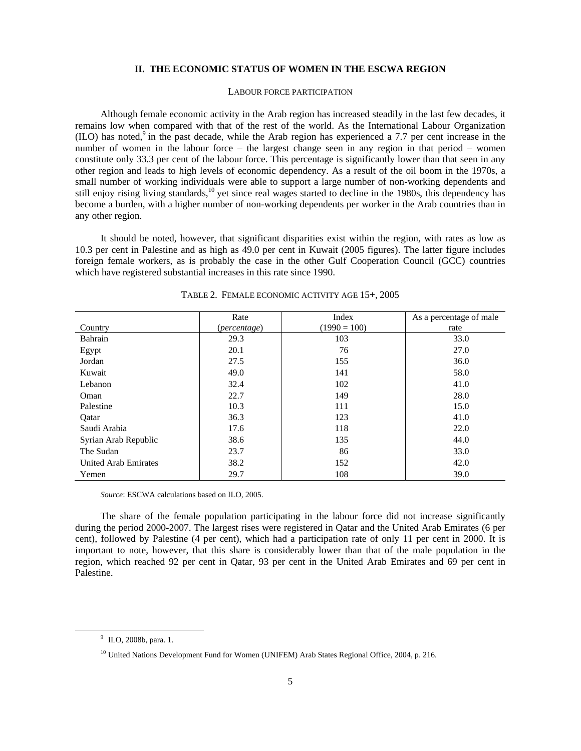### **II. THE ECONOMIC STATUS OF WOMEN IN THE ESCWA REGION**

### LABOUR FORCE PARTICIPATION

 Although female economic activity in the Arab region has increased steadily in the last few decades, it remains low when compared with that of the rest of the world. As the International Labour Organization  $(II)$  has noted,<sup>9</sup> in the past decade, while the Arab region has experienced a 7.7 per cent increase in the number of women in the labour force – the largest change seen in any region in that period – women constitute only 33.3 per cent of the labour force. This percentage is significantly lower than that seen in any other region and leads to high levels of economic dependency. As a result of the oil boom in the 1970s, a small number of working individuals were able to support a large number of non-working dependents and still enjoy rising living standards,<sup>10</sup> yet since real wages started to decline in the 1980s, this dependency has become a burden, with a higher number of non-working dependents per worker in the Arab countries than in any other region.

 It should be noted, however, that significant disparities exist within the region, with rates as low as 10.3 per cent in Palestine and as high as 49.0 per cent in Kuwait (2005 figures). The latter figure includes foreign female workers, as is probably the case in the other Gulf Cooperation Council (GCC) countries which have registered substantial increases in this rate since 1990.

|                             | Rate         | Index          | As a percentage of male |
|-----------------------------|--------------|----------------|-------------------------|
| Country                     | (percentage) | $(1990 = 100)$ | rate                    |
| Bahrain                     | 29.3         | 103            | 33.0                    |
| Egypt                       | 20.1         | 76             | 27.0                    |
| Jordan                      | 27.5         | 155            | 36.0                    |
| Kuwait                      | 49.0         | 141            | 58.0                    |
| Lebanon                     | 32.4         | 102            | 41.0                    |
| Oman                        | 22.7         | 149            | 28.0                    |
| Palestine                   | 10.3         | 111            | 15.0                    |
| Qatar                       | 36.3         | 123            | 41.0                    |
| Saudi Arabia                | 17.6         | 118            | 22.0                    |
| Syrian Arab Republic        | 38.6         | 135            | 44.0                    |
| The Sudan                   | 23.7         | 86             | 33.0                    |
| <b>United Arab Emirates</b> | 38.2         | 152            | 42.0                    |
| Yemen                       | 29.7         | 108            | 39.0                    |

TABLE 2. FEMALE ECONOMIC ACTIVITY AGE 15+, 2005

 *Source*: ESCWA calculations based on ILO, 2005.

 The share of the female population participating in the labour force did not increase significantly during the period 2000-2007. The largest rises were registered in Qatar and the United Arab Emirates (6 per cent), followed by Palestine (4 per cent), which had a participation rate of only 11 per cent in 2000. It is important to note, however, that this share is considerably lower than that of the male population in the region, which reached 92 per cent in Qatar, 93 per cent in the United Arab Emirates and 69 per cent in Palestine.

 $\frac{1}{9}$  $^9$  ILO, 2008b, para. 1.

<sup>&</sup>lt;sup>10</sup> United Nations Development Fund for Women (UNIFEM) Arab States Regional Office, 2004, p. 216.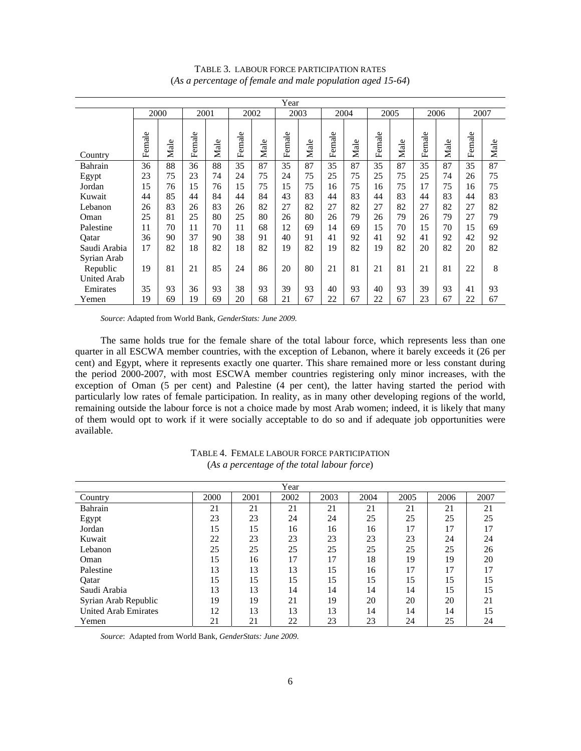|                    | Year   |      |        |      |        |      |        |      |        |      |        |      |        |      |        |      |
|--------------------|--------|------|--------|------|--------|------|--------|------|--------|------|--------|------|--------|------|--------|------|
|                    | 2000   |      | 2001   |      |        | 2002 |        | 2003 |        | 2004 |        | 2005 |        | 2006 | 2007   |      |
| Country            | Female | Male | Female | Male | Female | Male | Female | Male | Female | Male | Female | Male | Female | Male | Female | Male |
| Bahrain            | 36     | 88   | 36     | 88   | 35     | 87   | 35     | 87   | 35     | 87   | 35     | 87   | 35     | 87   | 35     | 87   |
| Egypt              | 23     | 75   | 23     | 74   | 24     | 75   | 24     | 75   | 25     | 75   | 25     | 75   | 25     | 74   | 26     | 75   |
| Jordan             | 15     | 76   | 15     | 76   | 15     | 75   | 15     | 75   | 16     | 75   | 16     | 75   | 17     | 75   | 16     | 75   |
| Kuwait             | 44     | 85   | 44     | 84   | 44     | 84   | 43     | 83   | 44     | 83   | 44     | 83   | 44     | 83   | 44     | 83   |
| Lebanon            | 26     | 83   | 26     | 83   | 26     | 82   | 27     | 82   | 27     | 82   | 27     | 82   | 27     | 82   | 27     | 82   |
| Oman               | 25     | 81   | 25     | 80   | 25     | 80   | 26     | 80   | 26     | 79   | 26     | 79   | 26     | 79   | 27     | 79   |
| Palestine          | 11     | 70   | 11     | 70   | 11     | 68   | 12     | 69   | 14     | 69   | 15     | 70   | 15     | 70   | 15     | 69   |
| Qatar              | 36     | 90   | 37     | 90   | 38     | 91   | 40     | 91   | 41     | 92   | 41     | 92   | 41     | 92   | 42     | 92   |
| Saudi Arabia       | 17     | 82   | 18     | 82   | 18     | 82   | 19     | 82   | 19     | 82   | 19     | 82   | 20     | 82   | 20     | 82   |
| Syrian Arab        |        |      |        |      |        |      |        |      |        |      |        |      |        |      |        |      |
| Republic           | 19     | 81   | 21     | 85   | 24     | 86   | 20     | 80   | 21     | 81   | 21     | 81   | 21     | 81   | 22     | 8    |
| <b>United Arab</b> |        |      |        |      |        |      |        |      |        |      |        |      |        |      |        |      |
| Emirates           | 35     | 93   | 36     | 93   | 38     | 93   | 39     | 93   | 40     | 93   | 40     | 93   | 39     | 93   | 41     | 93   |
| Yemen              | 19     | 69   | 19     | 69   | 20     | 68   | 21     | 67   | 22     | 67   | 22     | 67   | 23     | 67   | 22     | 67   |

TABLE 3. LABOUR FORCE PARTICIPATION RATES (*As a percentage of female and male population aged 15-64*)

 *Source*: Adapted from World Bank, *GenderStats: June 2009.*

 The same holds true for the female share of the total labour force, which represents less than one quarter in all ESCWA member countries, with the exception of Lebanon, where it barely exceeds it (26 per cent) and Egypt, where it represents exactly one quarter. This share remained more or less constant during the period 2000-2007, with most ESCWA member countries registering only minor increases, with the exception of Oman (5 per cent) and Palestine (4 per cent), the latter having started the period with particularly low rates of female participation. In reality, as in many other developing regions of the world, remaining outside the labour force is not a choice made by most Arab women; indeed, it is likely that many of them would opt to work if it were socially acceptable to do so and if adequate job opportunities were available.

| Year                        |      |      |      |      |      |      |      |      |  |  |  |
|-----------------------------|------|------|------|------|------|------|------|------|--|--|--|
| Country                     | 2000 | 2001 | 2002 | 2003 | 2004 | 2005 | 2006 | 2007 |  |  |  |
| Bahrain                     | 21   | 21   | 21   | 21   | 21   | 21   | 21   | 21   |  |  |  |
| Egypt                       | 23   | 23   | 24   | 24   | 25   | 25   | 25   | 25   |  |  |  |
| Jordan                      | 15   | 15   | 16   | 16   | 16   | 17   | 17   | 17   |  |  |  |
| Kuwait                      | 22   | 23   | 23   | 23   | 23   | 23   | 24   | 24   |  |  |  |
| Lebanon                     | 25   | 25   | 25   | 25   | 25   | 25   | 25   | 26   |  |  |  |
| Oman                        | 15   | 16   | 17   | 17   | 18   | 19   | 19   | 20   |  |  |  |
| Palestine                   | 13   | 13   | 13   | 15   | 16   | 17   | 17   | 17   |  |  |  |
| Oatar                       | 15   | 15   | 15   | 15   | 15   | 15   | 15   | 15   |  |  |  |
| Saudi Arabia                | 13   | 13   | 14   | 14   | 14   | 14   | 15   | 15   |  |  |  |
| Syrian Arab Republic        | 19   | 19   | 21   | 19   | 20   | 20   | 20   | 21   |  |  |  |
| <b>United Arab Emirates</b> | 12   | 13   | 13   | 13   | 14   | 14   | 14   | 15   |  |  |  |
| Yemen                       | 21   | 21   | 22   | 23   | 23   | 24   | 25   | 24   |  |  |  |
|                             |      |      |      |      |      |      |      |      |  |  |  |

TABLE 4. FEMALE LABOUR FORCE PARTICIPATION (*As a percentage of the total labour force*)

 *Source*: Adapted from World Bank, *GenderStats: June 2009.*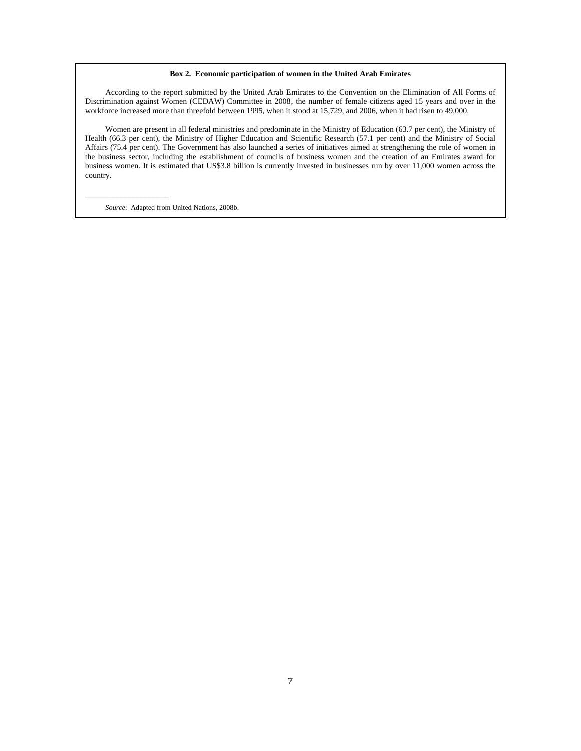#### **Box 2. Economic participation of women in the United Arab Emirates**

 According to the report submitted by the United Arab Emirates to the Convention on the Elimination of All Forms of Discrimination against Women (CEDAW) Committee in 2008, the number of female citizens aged 15 years and over in the workforce increased more than threefold between 1995, when it stood at 15,729, and 2006, when it had risen to 49,000.

 Women are present in all federal ministries and predominate in the Ministry of Education (63.7 per cent), the Ministry of Health (66.3 per cent), the Ministry of Higher Education and Scientific Research (57.1 per cent) and the Ministry of Social Affairs (75.4 per cent). The Government has also launched a series of initiatives aimed at strengthening the role of women in the business sector, including the establishment of councils of business women and the creation of an Emirates award for business women. It is estimated that US\$3.8 billion is currently invested in businesses run by over 11,000 women across the country.

 *Source*: Adapted from United Nations, 2008b.

 $\overline{\phantom{a}}$  , and the set of the set of the set of the set of the set of the set of the set of the set of the set of the set of the set of the set of the set of the set of the set of the set of the set of the set of the s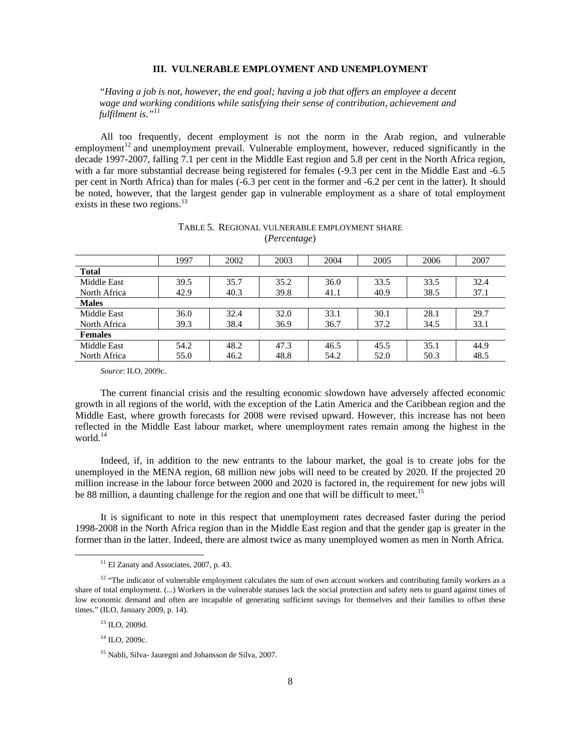### **III. VULNERABLE EMPLOYMENT AND UNEMPLOYMENT**

*"Having a job is not, however, the end goal; having a job that offers an employee a decent wage and working conditions while satisfying their sense of contribution, achievement and fulfilment is."*11

 All too frequently, decent employment is not the norm in the Arab region, and vulnerable employment<sup>12</sup> and unemployment prevail. Vulnerable employment, however, reduced significantly in the decade 1997-2007, falling 7.1 per cent in the Middle East region and 5.8 per cent in the North Africa region, with a far more substantial decrease being registered for females (-9.3 per cent in the Middle East and -6.5 per cent in North Africa) than for males (-6.3 per cent in the former and -6.2 per cent in the latter). It should be noted, however, that the largest gender gap in vulnerable employment as a share of total employment exists in these two regions.<sup>13</sup>

|                | 1997 | 2002 | 2003 | 2004 | 2005 | 2006 | 2007 |  |  |  |  |
|----------------|------|------|------|------|------|------|------|--|--|--|--|
| <b>Total</b>   |      |      |      |      |      |      |      |  |  |  |  |
| Middle East    | 39.5 | 35.7 | 35.2 | 36.0 | 33.5 | 33.5 | 32.4 |  |  |  |  |
| North Africa   | 42.9 | 40.3 | 39.8 | 41.1 | 40.9 | 38.5 | 37.1 |  |  |  |  |
| <b>Males</b>   |      |      |      |      |      |      |      |  |  |  |  |
| Middle East    | 36.0 | 32.4 | 32.0 | 33.1 | 30.1 | 28.1 | 29.7 |  |  |  |  |
| North Africa   | 39.3 | 38.4 | 36.9 | 36.7 | 37.2 | 34.5 | 33.1 |  |  |  |  |
| <b>Females</b> |      |      |      |      |      |      |      |  |  |  |  |
| Middle East    | 54.2 | 48.2 | 47.3 | 46.5 | 45.5 | 35.1 | 44.9 |  |  |  |  |
| North Africa   | 55.0 | 46.2 | 48.8 | 54.2 | 52.0 | 50.3 | 48.5 |  |  |  |  |

### TABLE 5. REGIONAL VULNERABLE EMPLOYMENT SHARE (*Percentage*)

 *Source*: ILO, 2009c.

 The current financial crisis and the resulting economic slowdown have adversely affected economic growth in all regions of the world, with the exception of the Latin America and the Caribbean region and the Middle East, where growth forecasts for 2008 were revised upward. However, this increase has not been reflected in the Middle East labour market, where unemployment rates remain among the highest in the world.<sup>14</sup>

 Indeed, if, in addition to the new entrants to the labour market, the goal is to create jobs for the unemployed in the MENA region, 68 million new jobs will need to be created by 2020. If the projected 20 million increase in the labour force between 2000 and 2020 is factored in, the requirement for new jobs will be 88 million, a daunting challenge for the region and one that will be difficult to meet.<sup>15</sup>

 It is significant to note in this respect that unemployment rates decreased faster during the period 1998-2008 in the North Africa region than in the Middle East region and that the gender gap is greater in the former than in the latter. Indeed, there are almost twice as many unemployed women as men in North Africa.

<sup>&</sup>lt;sup>11</sup> El Zanaty and Associates, 2007, p. 43.

<sup>&</sup>lt;sup>12</sup> "The indicator of vulnerable employment calculates the sum of own account workers and contributing family workers as a share of total employment. (...) Workers in the vulnerable statuses lack the social protection and safety nets to guard against times of low economic demand and often are incapable of generating sufficient savings for themselves and their families to offset these times." (ILO, January 2009, p. 14).

<sup>13</sup> ILO, 2009d.

 $^{14}$  ILO, 2009c.

<sup>15</sup> Nabli, Silva- Jauregni and Johansson de Silva, 2007.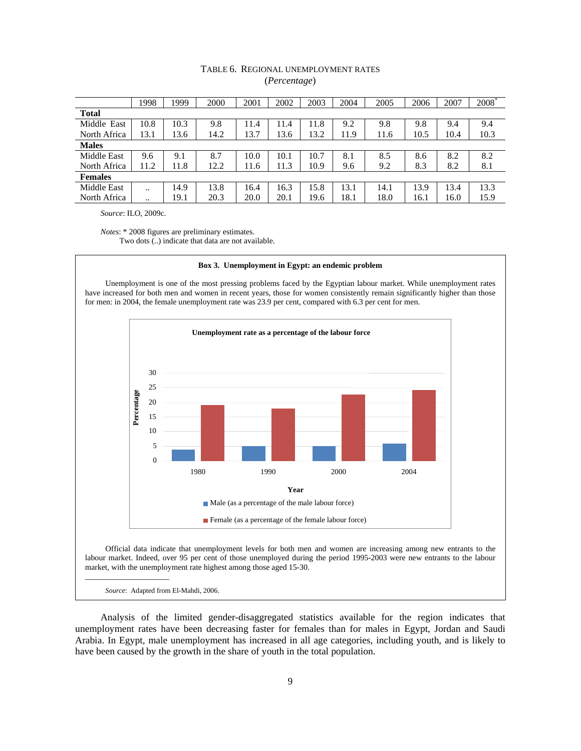# TABLE 6. REGIONAL UNEMPLOYMENT RATES (*Percentage*)

|                    | 1998 | 1999 | 2000 | 2001 | 2002 | 2003 | 2004 | 2005 | 2006 | 2007 | <b>2008</b> |
|--------------------|------|------|------|------|------|------|------|------|------|------|-------------|
| <b>Total</b>       |      |      |      |      |      |      |      |      |      |      |             |
| Middle East        | 10.8 | 10.3 | 9.8  | 11.4 | 11.4 | 11.8 | 9.2  | 9.8  | 9.8  | 9.4  | 9.4         |
| North Africa       | 13.1 | 13.6 | 14.2 | 13.7 | 13.6 | 13.2 | 11.9 | 11.6 | 10.5 | 10.4 | 10.3        |
| <b>Males</b>       |      |      |      |      |      |      |      |      |      |      |             |
| <b>Middle East</b> | 9.6  | 9.1  | 8.7  | 10.0 | 10.1 | 10.7 | 8.1  | 8.5  | 8.6  | 8.2  | 8.2         |
| North Africa       | 11.2 | 11.8 | 12.2 | 11.6 | 11.3 | 10.9 | 9.6  | 9.2  | 8.3  | 8.2  | 8.1         |
| <b>Females</b>     |      |      |      |      |      |      |      |      |      |      |             |
| <b>Middle East</b> |      | 14.9 | 13.8 | 16.4 | 16.3 | 15.8 | 13.1 | 14.1 | 13.9 | 13.4 | 13.3        |
| North Africa       |      | 19.1 | 20.3 | 20.0 | 20.1 | 19.6 | 18.1 | 18.0 | 16.1 | 16.0 | 15.9        |
|                    |      |      |      |      |      |      |      |      |      |      |             |

 *Source*: ILO, 2009c.

 *Notes*: \* 2008 figures are preliminary estimates. Two dots (..) indicate that data are not available.

#### **Box 3. Unemployment in Egypt: an endemic problem**

 Unemployment is one of the most pressing problems faced by the Egyptian labour market. While unemployment rates have increased for both men and women in recent years, those for women consistently remain significantly higher than those for men: in 2004, the female unemployment rate was 23.9 per cent, compared with 6.3 per cent for men.



 $\overline{\phantom{a}}$  , and the set of the set of the set of the set of the set of the set of the set of the set of the set of the set of the set of the set of the set of the set of the set of the set of the set of the set of the s *Source*: Adapted from El-Mahdi, 2006.

 Analysis of the limited gender-disaggregated statistics available for the region indicates that unemployment rates have been decreasing faster for females than for males in Egypt, Jordan and Saudi Arabia. In Egypt, male unemployment has increased in all age categories, including youth, and is likely to have been caused by the growth in the share of youth in the total population.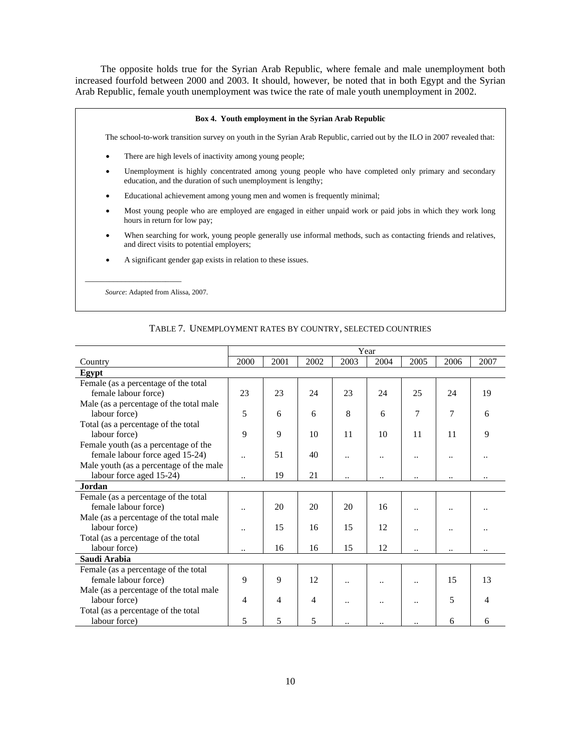The opposite holds true for the Syrian Arab Republic, where female and male unemployment both increased fourfold between 2000 and 2003. It should, however, be noted that in both Egypt and the Syrian Arab Republic, female youth unemployment was twice the rate of male youth unemployment in 2002.

# **Box 4. Youth employment in the Syrian Arab Republic**  The school-to-work transition survey on youth in the Syrian Arab Republic, carried out by the ILO in 2007 revealed that: There are high levels of inactivity among young people; • Unemployment is highly concentrated among young people who have completed only primary and secondary education, and the duration of such unemployment is lengthy; • Educational achievement among young men and women is frequently minimal; • Most young people who are employed are engaged in either unpaid work or paid jobs in which they work long hours in return for low pay; When searching for work, young people generally use informal methods, such as contacting friends and relatives, and direct visits to potential employers; • A significant gender gap exists in relation to these issues.  $\overline{\phantom{a}}$  , and the set of the set of the set of the set of the set of the set of the set of the set of the set of the set of the set of the set of the set of the set of the set of the set of the set of the set of the s  *Source*: Adapted from Alissa, 2007.

|                                         |                      | Year |      |                      |                      |                      |                      |      |  |  |  |
|-----------------------------------------|----------------------|------|------|----------------------|----------------------|----------------------|----------------------|------|--|--|--|
| Country                                 | 2000                 | 2001 | 2002 | 2003                 | 2004                 | 2005                 | 2006                 | 2007 |  |  |  |
| Egypt                                   |                      |      |      |                      |                      |                      |                      |      |  |  |  |
| Female (as a percentage of the total    |                      |      |      |                      |                      |                      |                      |      |  |  |  |
| female labour force)                    | 23                   | 23   | 24   | 23                   | 24                   | 25                   | 24                   | 19   |  |  |  |
| Male (as a percentage of the total male |                      |      |      |                      |                      |                      |                      |      |  |  |  |
| labour force)                           | 5                    | 6    | 6    | 8                    | 6                    | 7                    | $\overline{7}$       | 6    |  |  |  |
| Total (as a percentage of the total     |                      |      |      |                      |                      |                      |                      |      |  |  |  |
| labour force)                           | 9                    | 9    | 10   | 11                   | 10                   | 11                   | 11                   | 9    |  |  |  |
| Female youth (as a percentage of the    |                      |      |      |                      |                      |                      |                      |      |  |  |  |
| female labour force aged 15-24)         | $\ddot{\phantom{a}}$ | 51   | 40   |                      |                      |                      |                      |      |  |  |  |
| Male youth (as a percentage of the male |                      |      |      |                      |                      |                      |                      |      |  |  |  |
| labour force aged 15-24)                | $\ddot{\phantom{a}}$ | 19   | 21   | $\ddot{\phantom{0}}$ | $\ddot{\phantom{0}}$ |                      |                      |      |  |  |  |
| Jordan                                  |                      |      |      |                      |                      |                      |                      |      |  |  |  |
| Female (as a percentage of the total    |                      |      |      |                      |                      |                      |                      |      |  |  |  |
| female labour force)                    |                      | 20   | 20   | 20                   | 16                   |                      |                      |      |  |  |  |
| Male (as a percentage of the total male |                      |      |      |                      |                      |                      |                      |      |  |  |  |
| labour force)                           |                      | 15   | 16   | 15                   | 12                   |                      |                      |      |  |  |  |
| Total (as a percentage of the total     |                      |      |      |                      |                      |                      |                      |      |  |  |  |
| labour force)                           | $\ddot{\phantom{0}}$ | 16   | 16   | 15                   | 12                   | $\ddot{\phantom{0}}$ | $\ddot{\phantom{0}}$ |      |  |  |  |
| Saudi Arabia                            |                      |      |      |                      |                      |                      |                      |      |  |  |  |
| Female (as a percentage of the total    |                      |      |      |                      |                      |                      |                      |      |  |  |  |
| female labour force)                    | 9                    | 9    | 12   |                      |                      |                      | 15                   | 13   |  |  |  |
| Male (as a percentage of the total male |                      |      |      |                      |                      |                      |                      |      |  |  |  |
| labour force)                           | 4                    | 4    | 4    | $\ddotsc$            |                      |                      | 5                    |      |  |  |  |
| Total (as a percentage of the total     |                      |      |      |                      |                      |                      |                      |      |  |  |  |
| labour force)                           | 5                    | 5    | 5    |                      |                      |                      | 6                    | 6    |  |  |  |

### TABLE 7. UNEMPLOYMENT RATES BY COUNTRY, SELECTED COUNTRIES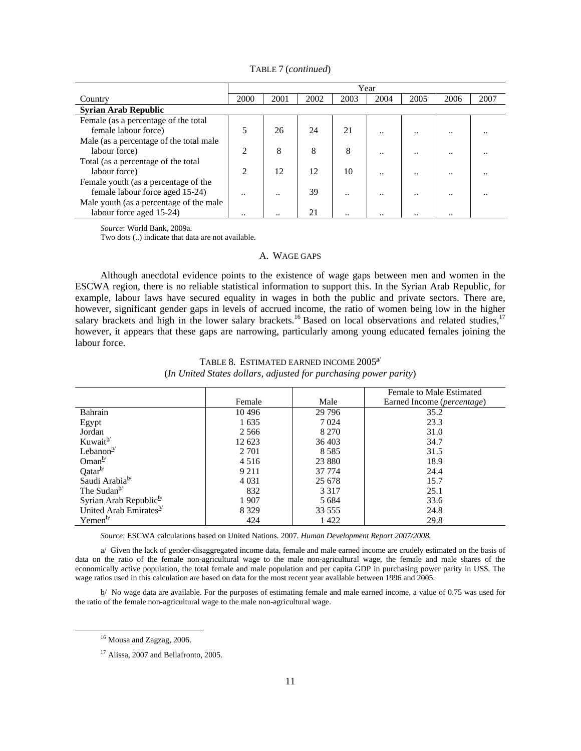|                                         | Year               |      |      |                      |                      |         |                      |      |  |  |
|-----------------------------------------|--------------------|------|------|----------------------|----------------------|---------|----------------------|------|--|--|
| Country                                 | 2000               | 2001 | 2002 | 2003                 | 2004                 | 2005    | 2006                 | 2007 |  |  |
| <b>Syrian Arab Republic</b>             |                    |      |      |                      |                      |         |                      |      |  |  |
| Female (as a percentage of the total    |                    |      |      |                      |                      |         |                      |      |  |  |
| female labour force)                    |                    | 26   | 24   | 21                   | $\ddot{\phantom{0}}$ | $\cdot$ |                      |      |  |  |
| Male (as a percentage of the total male |                    |      |      |                      |                      |         |                      |      |  |  |
| labour force)                           | $\mathfrak{D}$     | 8    | 8    | 8                    | $\ddot{\phantom{0}}$ |         |                      |      |  |  |
| Total (as a percentage of the total     |                    |      |      |                      |                      |         |                      |      |  |  |
| labour force)                           | $\mathfrak{D}_{1}$ | 12   | 12   | 10                   | $\ddot{\phantom{0}}$ |         |                      |      |  |  |
| Female youth (as a percentage of the    |                    |      |      |                      |                      |         |                      |      |  |  |
| female labour force aged 15-24)         |                    |      | 39   |                      | $\cdot$ .            |         |                      |      |  |  |
| Male youth (as a percentage of the male |                    |      |      |                      |                      |         |                      |      |  |  |
| labour force aged 15-24)                |                    |      | 21   | $\ddot{\phantom{0}}$ | $\ddot{\phantom{0}}$ |         | $\ddot{\phantom{0}}$ |      |  |  |

TABLE 7 (*continued*)

 *Source*: World Bank, 2009a*.* 

Two dots (..) indicate that data are not available.

## A. WAGE GAPS

 Although anecdotal evidence points to the existence of wage gaps between men and women in the ESCWA region, there is no reliable statistical information to support this. In the Syrian Arab Republic, for example, labour laws have secured equality in wages in both the public and private sectors. There are, however, significant gender gaps in levels of accrued income, the ratio of women being low in the higher salary brackets and high in the lower salary brackets.<sup>16</sup> Based on local observations and related studies,<sup>17</sup> however, it appears that these gaps are narrowing, particularly among young educated females joining the labour force.

|                                    |         |          | Female to Male Estimated   |
|------------------------------------|---------|----------|----------------------------|
|                                    | Female  | Male     | Earned Income (percentage) |
| Bahrain                            | 10496   | 29 7 9 6 | 35.2                       |
| Egypt                              | 1635    | 7 0 24   | 23.3                       |
| Jordan                             | 2 5 6 6 | 8 2 7 0  | 31.0                       |
| Kuwait <sup>b</sup>                | 12 623  | 36 403   | 34.7                       |
| Lebanon $\frac{b}{c}$              | 2 7 0 1 | 8 5 8 5  | 31.5                       |
| Oman $b$                           | 4 5 1 6 | 23 8 8 0 | 18.9                       |
| $Qatar^b$                          | 9 2 1 1 | 37 774   | 24.4                       |
| Saudi Arabiab/                     | 4 0 3 1 | 25 678   | 15.7                       |
| The Sudan <sup>b</sup>             | 832     | 3 3 1 7  | 25.1                       |
| Syrian Arab Republic <sup>b/</sup> | 1907    | 5 6 8 4  | 33.6                       |
| United Arab Emirates <sup>b/</sup> | 8 3 2 9 | 33 555   | 24.8                       |
| $Y$ emen $\frac{b}{c}$             | 424     | 1422     | 29.8                       |

# TABLE 8. ESTIMATED EARNED INCOME  $2005^{\frac{1}{2}}$ (*In United States dollars, adjusted for purchasing power parity*)

 *Source*: ESCWA calculations based on United Nations. 2007. *Human Development Report 2007/2008.* 

 $a/$  Given the lack of gender-disaggregated income data, female and male earned income are crudely estimated on the basis of data on the ratio of the female non-agricultural wage to the male non-agricultural wage, the female and male shares of the economically active population, the total female and male population and per capita GDP in purchasing power parity in US\$. The wage ratios used in this calculation are based on data for the most recent year available between 1996 and 2005.

 $b/$  No wage data are available. For the purposes of estimating female and male earned income, a value of 0.75 was used for the ratio of the female non-agricultural wage to the male non-agricultural wage.

<sup>&</sup>lt;sup>16</sup> Mousa and Zagzag, 2006.

<sup>&</sup>lt;sup>17</sup> Alissa, 2007 and Bellafronto, 2005.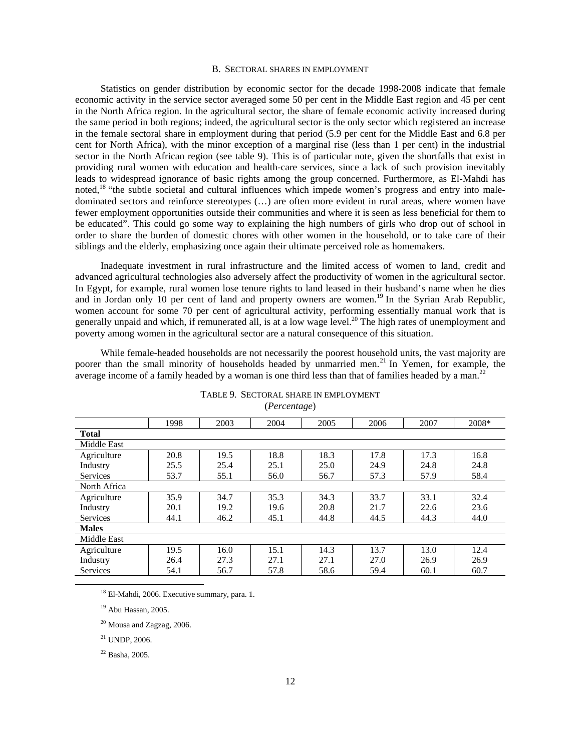### B. SECTORAL SHARES IN EMPLOYMENT

 Statistics on gender distribution by economic sector for the decade 1998-2008 indicate that female economic activity in the service sector averaged some 50 per cent in the Middle East region and 45 per cent in the North Africa region. In the agricultural sector, the share of female economic activity increased during the same period in both regions; indeed, the agricultural sector is the only sector which registered an increase in the female sectoral share in employment during that period (5.9 per cent for the Middle East and 6.8 per cent for North Africa), with the minor exception of a marginal rise (less than 1 per cent) in the industrial sector in the North African region (see table 9). This is of particular note, given the shortfalls that exist in providing rural women with education and health-care services, since a lack of such provision inevitably leads to widespread ignorance of basic rights among the group concerned. Furthermore, as El-Mahdi has noted,<sup>18</sup> "the subtle societal and cultural influences which impede women's progress and entry into maledominated sectors and reinforce stereotypes (…) are often more evident in rural areas, where women have fewer employment opportunities outside their communities and where it is seen as less beneficial for them to be educated". This could go some way to explaining the high numbers of girls who drop out of school in order to share the burden of domestic chores with other women in the household, or to take care of their siblings and the elderly, emphasizing once again their ultimate perceived role as homemakers.

 Inadequate investment in rural infrastructure and the limited access of women to land, credit and advanced agricultural technologies also adversely affect the productivity of women in the agricultural sector. In Egypt, for example, rural women lose tenure rights to land leased in their husband's name when he dies and in Jordan only 10 per cent of land and property owners are women.<sup>19</sup> In the Syrian Arab Republic, women account for some 70 per cent of agricultural activity, performing essentially manual work that is generally unpaid and which, if remunerated all, is at a low wage level.<sup>20</sup> The high rates of unemployment and poverty among women in the agricultural sector are a natural consequence of this situation.

 While female-headed households are not necessarily the poorest household units, the vast majority are poorer than the small minority of households headed by unmarried men.<sup>21</sup> In Yemen, for example, the average income of a family headed by a woman is one third less than that of families headed by a man.<sup>22</sup>

|                 | 1998 | 2003 | 2004 | 2005 | 2006 | 2007 | $2008*$ |  |  |
|-----------------|------|------|------|------|------|------|---------|--|--|
| <b>Total</b>    |      |      |      |      |      |      |         |  |  |
| Middle East     |      |      |      |      |      |      |         |  |  |
| Agriculture     | 20.8 | 19.5 | 18.8 | 18.3 | 17.8 | 17.3 | 16.8    |  |  |
| Industry        | 25.5 | 25.4 | 25.1 | 25.0 | 24.9 | 24.8 | 24.8    |  |  |
| <b>Services</b> | 53.7 | 55.1 | 56.0 | 56.7 | 57.3 | 57.9 | 58.4    |  |  |
| North Africa    |      |      |      |      |      |      |         |  |  |
| Agriculture     | 35.9 | 34.7 | 35.3 | 34.3 | 33.7 | 33.1 | 32.4    |  |  |
| Industry        | 20.1 | 19.2 | 19.6 | 20.8 | 21.7 | 22.6 | 23.6    |  |  |
| <b>Services</b> | 44.1 | 46.2 | 45.1 | 44.8 | 44.5 | 44.3 | 44.0    |  |  |
| <b>Males</b>    |      |      |      |      |      |      |         |  |  |
| Middle East     |      |      |      |      |      |      |         |  |  |
| Agriculture     | 19.5 | 16.0 | 15.1 | 14.3 | 13.7 | 13.0 | 12.4    |  |  |
| Industry        | 26.4 | 27.3 | 27.1 | 27.1 | 27.0 | 26.9 | 26.9    |  |  |
| <b>Services</b> | 54.1 | 56.7 | 57.8 | 58.6 | 59.4 | 60.1 | 60.7    |  |  |

TABLE 9. SECTORAL SHARE IN EMPLOYMENT (*Percentage*)

<sup>18</sup> El-Mahdi, 2006. Executive summary, para. 1.

19 Abu Hassan, 2005.

 $20$  Mousa and Zagzag, 2006.

 $21$  UNDP, 2006.

22 Basha, 2005.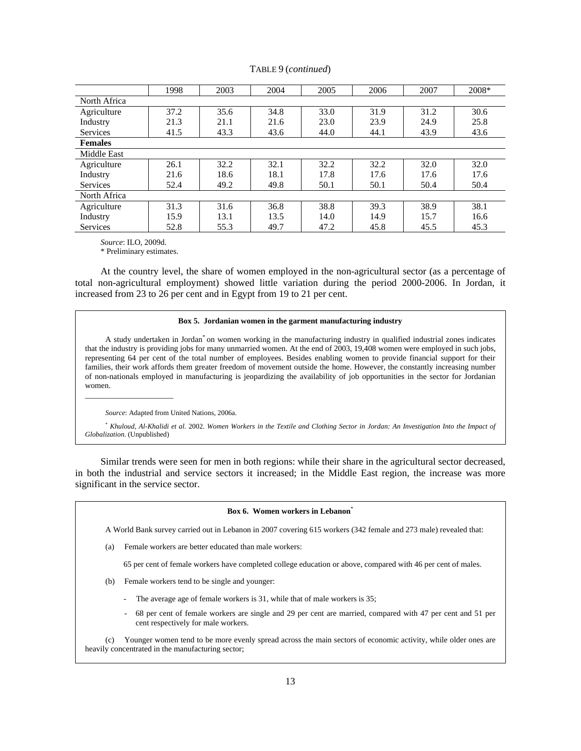|                 | 1998 | 2003 | 2004 | 2005 | 2006 | 2007 | 2008* |  |  |
|-----------------|------|------|------|------|------|------|-------|--|--|
| North Africa    |      |      |      |      |      |      |       |  |  |
| Agriculture     | 37.2 | 35.6 | 34.8 | 33.0 | 31.9 | 31.2 | 30.6  |  |  |
| Industry        | 21.3 | 21.1 | 21.6 | 23.0 | 23.9 | 24.9 | 25.8  |  |  |
| <b>Services</b> | 41.5 | 43.3 | 43.6 | 44.0 | 44.1 | 43.9 | 43.6  |  |  |
| <b>Females</b>  |      |      |      |      |      |      |       |  |  |
| Middle East     |      |      |      |      |      |      |       |  |  |
| Agriculture     | 26.1 | 32.2 | 32.1 | 32.2 | 32.2 | 32.0 | 32.0  |  |  |
| Industry        | 21.6 | 18.6 | 18.1 | 17.8 | 17.6 | 17.6 | 17.6  |  |  |
| <b>Services</b> | 52.4 | 49.2 | 49.8 | 50.1 | 50.1 | 50.4 | 50.4  |  |  |
| North Africa    |      |      |      |      |      |      |       |  |  |
| Agriculture     | 31.3 | 31.6 | 36.8 | 38.8 | 39.3 | 38.9 | 38.1  |  |  |
| Industry        | 15.9 | 13.1 | 13.5 | 14.0 | 14.9 | 15.7 | 16.6  |  |  |
| <b>Services</b> | 52.8 | 55.3 | 49.7 | 47.2 | 45.8 | 45.5 | 45.3  |  |  |

TABLE 9 (*continued*)

 *Source*: ILO, 2009d.

 $\overline{\phantom{a}}$  , and the set of the set of the set of the set of the set of the set of the set of the set of the set of the set of the set of the set of the set of the set of the set of the set of the set of the set of the s

\* Preliminary estimates.

 At the country level, the share of women employed in the non-agricultural sector (as a percentage of total non-agricultural employment) showed little variation during the period 2000-2006. In Jordan, it increased from 23 to 26 per cent and in Egypt from 19 to 21 per cent.

#### **Box 5. Jordanian women in the garment manufacturing industry**

 A study undertaken in Jordan\* on women working in the manufacturing industry in qualified industrial zones indicates that the industry is providing jobs for many unmarried women. At the end of 2003, 19,408 women were employed in such jobs, representing 64 per cent of the total number of employees. Besides enabling women to provide financial support for their families, their work affords them greater freedom of movement outside the home. However, the constantly increasing number of non-nationals employed in manufacturing is jeopardizing the availability of job opportunities in the sector for Jordanian women.

 *Source*: Adapted from United Nations, 2006a.

 \* *Khuloud, Al-Khalidi et al.* 2002. *Women Workers in the Textile and Clothing Sector in Jordan: An Investigation Into the Impact of Globalization*. (Unpublished)

 Similar trends were seen for men in both regions: while their share in the agricultural sector decreased, in both the industrial and service sectors it increased; in the Middle East region, the increase was more significant in the service sector.

### **Box 6. Women workers in Lebanon**\*

A World Bank survey carried out in Lebanon in 2007 covering 615 workers (342 female and 273 male) revealed that:

(a) Female workers are better educated than male workers:

65 per cent of female workers have completed college education or above, compared with 46 per cent of males.

- (b) Female workers tend to be single and younger:
	- The average age of female workers is 31, while that of male workers is 35;
	- 68 per cent of female workers are single and 29 per cent are married, compared with 47 per cent and 51 per cent respectively for male workers.

 (c) Younger women tend to be more evenly spread across the main sectors of economic activity, while older ones are heavily concentrated in the manufacturing sector;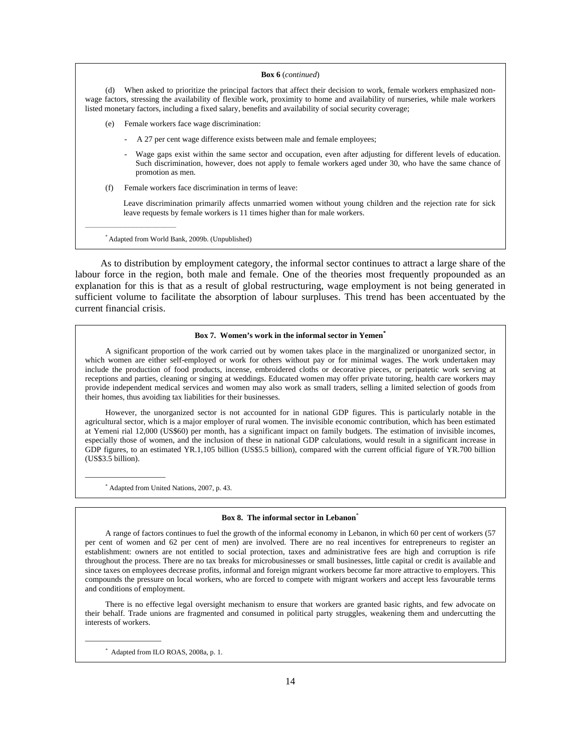#### **Box 6** (*continued*)

 (d) When asked to prioritize the principal factors that affect their decision to work, female workers emphasized nonwage factors, stressing the availability of flexible work, proximity to home and availability of nurseries, while male workers listed monetary factors, including a fixed salary, benefits and availability of social security coverage;

- (e) Female workers face wage discrimination:
	- A 27 per cent wage difference exists between male and female employees;
	- Wage gaps exist within the same sector and occupation, even after adjusting for different levels of education. Such discrimination, however, does not apply to female workers aged under 30, who have the same chance of promotion as men.
- (f) Female workers face discrimination in terms of leave:

 Leave discrimination primarily affects unmarried women without young children and the rejection rate for sick leave requests by female workers is 11 times higher than for male workers.

\* Adapted from World Bank, 2009b. (Unpublished)

\_\_\_\_\_\_\_\_\_\_\_\_\_\_\_\_\_\_\_\_\_\_\_\_\_\_\_\_\_\_\_\_\_\_

 As to distribution by employment category, the informal sector continues to attract a large share of the labour force in the region, both male and female. One of the theories most frequently propounded as an explanation for this is that as a result of global restructuring, wage employment is not being generated in sufficient volume to facilitate the absorption of labour surpluses. This trend has been accentuated by the current financial crisis.

#### **Box 7. Women's work in the informal sector in Yemen\***

 A significant proportion of the work carried out by women takes place in the marginalized or unorganized sector, in which women are either self-employed or work for others without pay or for minimal wages. The work undertaken may include the production of food products, incense, embroidered cloths or decorative pieces, or peripatetic work serving at receptions and parties, cleaning or singing at weddings. Educated women may offer private tutoring, health care workers may provide independent medical services and women may also work as small traders, selling a limited selection of goods from their homes, thus avoiding tax liabilities for their businesses.

 However, the unorganized sector is not accounted for in national GDP figures. This is particularly notable in the agricultural sector, which is a major employer of rural women. The invisible economic contribution, which has been estimated at Yemeni rial 12,000 (US\$60) per month, has a significant impact on family budgets. The estimation of invisible incomes, especially those of women, and the inclusion of these in national GDP calculations, would result in a significant increase in GDP figures, to an estimated YR.1,105 billion (US\$5.5 billion), compared with the current official figure of YR.700 billion (US\$3.5 billion).

\* Adapted from United Nations, 2007, p. 43.

 $\overline{\phantom{a}}$  , and the set of the set of the set of the set of the set of the set of the set of the set of the set of the set of the set of the set of the set of the set of the set of the set of the set of the set of the s

 $\_$ 

#### **Box 8. The informal sector in Lebanon**\*

 A range of factors continues to fuel the growth of the informal economy in Lebanon, in which 60 per cent of workers (57 per cent of women and 62 per cent of men) are involved. There are no real incentives for entrepreneurs to register an establishment: owners are not entitled to social protection, taxes and administrative fees are high and corruption is rife throughout the process. There are no tax breaks for microbusinesses or small businesses, little capital or credit is available and since taxes on employees decrease profits, informal and foreign migrant workers become far more attractive to employers. This compounds the pressure on local workers, who are forced to compete with migrant workers and accept less favourable terms and conditions of employment.

 There is no effective legal oversight mechanism to ensure that workers are granted basic rights, and few advocate on their behalf. Trade unions are fragmented and consumed in political party struggles, weakening them and undercutting the interests of workers.

*\** Adapted from ILO ROAS, 2008a, p. 1.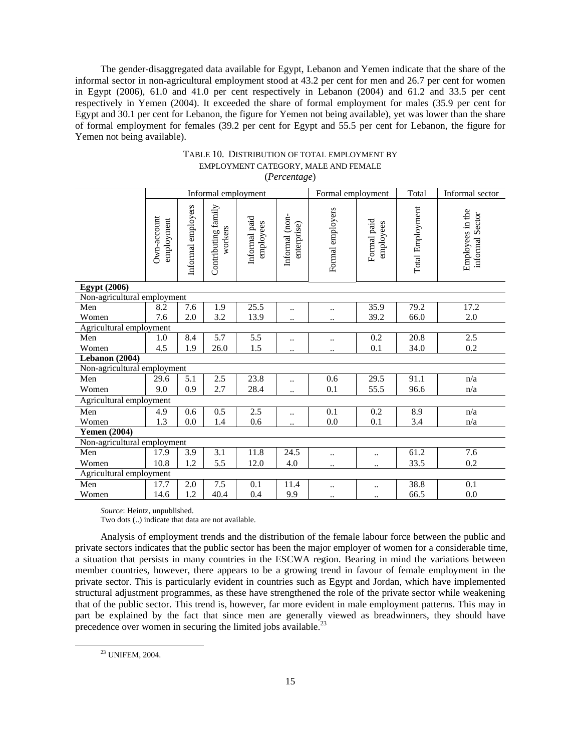The gender-disaggregated data available for Egypt, Lebanon and Yemen indicate that the share of the informal sector in non-agricultural employment stood at 43.2 per cent for men and 26.7 per cent for women in Egypt (2006), 61.0 and 41.0 per cent respectively in Lebanon (2004) and 61.2 and 33.5 per cent respectively in Yemen (2004). It exceeded the share of formal employment for males (35.9 per cent for Egypt and 30.1 per cent for Lebanon, the figure for Yemen not being available), yet was lower than the share of formal employment for females (39.2 per cent for Egypt and 55.5 per cent for Lebanon, the figure for Yemen not being available).

|                             |                           |                    | Informal employment            |                            |                               | Formal employment |                          | Total            | Informal sector                     |
|-----------------------------|---------------------------|--------------------|--------------------------------|----------------------------|-------------------------------|-------------------|--------------------------|------------------|-------------------------------------|
|                             | Own-account<br>employment | Informal employers | Contributing family<br>workers | Informal paid<br>employees | Informal (non-<br>enterprise) | Formal employers  | Formal paid<br>employees | Total Employment | Employees in the<br>informal Sector |
| <b>Egypt</b> (2006)         |                           |                    |                                |                            |                               |                   |                          |                  |                                     |
| Non-agricultural employment |                           |                    |                                |                            |                               |                   |                          |                  |                                     |
| Men                         | 8.2                       | 7.6                | 1.9                            | 25.5                       | $\ddotsc$                     | $\ddotsc$         | 35.9                     | 79.2             | 17.2                                |
| Women                       | 7.6                       | 2.0                | 3.2                            | 13.9                       | $\ddot{\phantom{a}}$ .        |                   | 39.2                     | 66.0             | 2.0                                 |
| Agricultural employment     |                           |                    |                                |                            |                               |                   |                          |                  |                                     |
| Men                         | 1.0                       | 8.4                | $\overline{5.7}$               | $\overline{5.5}$           |                               | $\ddotsc$         | 0.2                      | 20.8             | 2.5                                 |
| Women                       | 4.5                       | 1.9                | 26.0                           | 1.5                        | $\ddotsc$                     | $\ddotsc$         | 0.1                      | 34.0             | 0.2                                 |
| Lebanon (2004)              |                           |                    |                                |                            |                               |                   |                          |                  |                                     |
| Non-agricultural employment |                           |                    |                                |                            |                               |                   |                          |                  |                                     |
| Men                         | 29.6                      | 5.1                | 2.5                            | 23.8                       | $\ddotsc$                     | 0.6               | 29.5                     | 91.1             | n/a                                 |
| Women                       | 9.0                       | 0.9                | 2.7                            | 28.4                       | $\ddotsc$                     | 0.1               | 55.5                     | 96.6             | n/a                                 |
| Agricultural employment     |                           |                    |                                |                            |                               |                   |                          |                  |                                     |
| Men                         | 4.9                       | 0.6                | 0.5                            | 2.5                        | $\ddotsc$                     | 0.1               | 0.2                      | 8.9              | n/a                                 |
| Women                       | 1.3                       | 0.0                | 1.4                            | 0.6                        | $\ddot{\phantom{a}}$          | 0.0               | 0.1                      | 3.4              | n/a                                 |
| <b>Yemen (2004)</b>         |                           |                    |                                |                            |                               |                   |                          |                  |                                     |
| Non-agricultural employment |                           |                    |                                |                            |                               |                   |                          |                  |                                     |
| Men                         | 17.9                      | 3.9                | $\overline{3.1}$               | 11.8                       | 24.5                          | $\ddotsc$         |                          | 61.2             | 7.6                                 |
| Women                       | 10.8                      | 1.2                | 5.5                            | 12.0                       | 4.0                           | $\ddotsc$         |                          | 33.5             | 0.2                                 |
| Agricultural employment     |                           |                    |                                |                            |                               |                   |                          |                  |                                     |
| Men                         | 17.7                      | 2.0                | 7.5                            | 0.1                        | 11.4                          | $\ddotsc$         |                          | 38.8             | 0.1                                 |
| Women                       | 14.6                      | 1.2                | 40.4                           | 0.4                        | 9.9                           | $\ddotsc$         |                          | 66.5             | 0.0                                 |

### TABLE 10. DISTRIBUTION OF TOTAL EMPLOYMENT BY EMPLOYMENT CATEGORY, MALE AND FEMALE (*Percentage*)

*Source*: Heintz, unpublished.

Two dots (..) indicate that data are not available.

 Analysis of employment trends and the distribution of the female labour force between the public and private sectors indicates that the public sector has been the major employer of women for a considerable time, a situation that persists in many countries in the ESCWA region. Bearing in mind the variations between member countries, however, there appears to be a growing trend in favour of female employment in the private sector. This is particularly evident in countries such as Egypt and Jordan, which have implemented structural adjustment programmes, as these have strengthened the role of the private sector while weakening that of the public sector. This trend is, however, far more evident in male employment patterns. This may in part be explained by the fact that since men are generally viewed as breadwinners, they should have precedence over women in securing the limited jobs available.<sup>23</sup>

 <sup>23</sup> UNIFEM, 2004.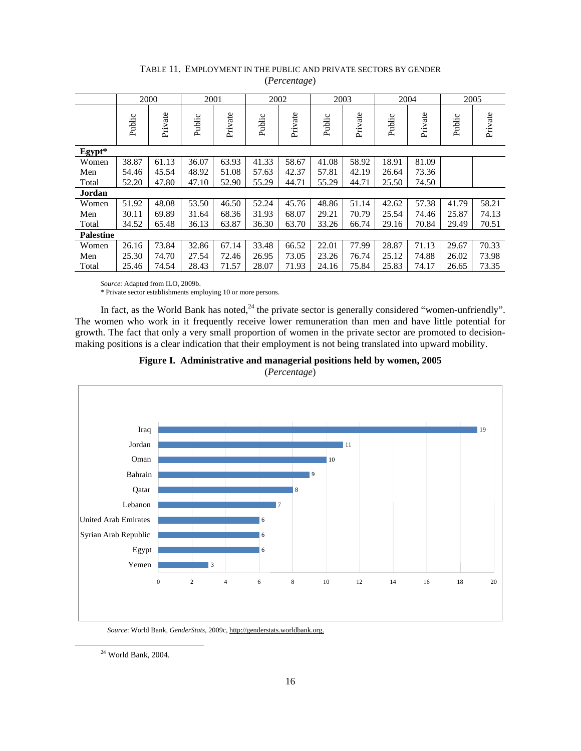|                  | 2000   |         | 2001   |         |        | 2002    |        | 2003    |        | 2004    |        | 2005    |
|------------------|--------|---------|--------|---------|--------|---------|--------|---------|--------|---------|--------|---------|
|                  | Public | Private | Public | Private | Public | Private | Public | Private | Public | Private | Public | Private |
| Egypt*           |        |         |        |         |        |         |        |         |        |         |        |         |
| Women            | 38.87  | 61.13   | 36.07  | 63.93   | 41.33  | 58.67   | 41.08  | 58.92   | 18.91  | 81.09   |        |         |
| Men              | 54.46  | 45.54   | 48.92  | 51.08   | 57.63  | 42.37   | 57.81  | 42.19   | 26.64  | 73.36   |        |         |
| Total            | 52.20  | 47.80   | 47.10  | 52.90   | 55.29  | 44.71   | 55.29  | 44.71   | 25.50  | 74.50   |        |         |
| Jordan           |        |         |        |         |        |         |        |         |        |         |        |         |
| Women            | 51.92  | 48.08   | 53.50  | 46.50   | 52.24  | 45.76   | 48.86  | 51.14   | 42.62  | 57.38   | 41.79  | 58.21   |
| Men              | 30.11  | 69.89   | 31.64  | 68.36   | 31.93  | 68.07   | 29.21  | 70.79   | 25.54  | 74.46   | 25.87  | 74.13   |
| Total            | 34.52  | 65.48   | 36.13  | 63.87   | 36.30  | 63.70   | 33.26  | 66.74   | 29.16  | 70.84   | 29.49  | 70.51   |
| <b>Palestine</b> |        |         |        |         |        |         |        |         |        |         |        |         |
| Women            | 26.16  | 73.84   | 32.86  | 67.14   | 33.48  | 66.52   | 22.01  | 77.99   | 28.87  | 71.13   | 29.67  | 70.33   |
| Men              | 25.30  | 74.70   | 27.54  | 72.46   | 26.95  | 73.05   | 23.26  | 76.74   | 25.12  | 74.88   | 26.02  | 73.98   |
| Total            | 25.46  | 74.54   | 28.43  | 71.57   | 28.07  | 71.93   | 24.16  | 75.84   | 25.83  | 74.17   | 26.65  | 73.35   |

# TABLE 11. EMPLOYMENT IN THE PUBLIC AND PRIVATE SECTORS BY GENDER (*Percentage*)

*Source*: Adapted from ILO, 2009b.

\* Private sector establishments employing 10 or more persons.

In fact, as the World Bank has noted, $^{24}$  the private sector is generally considered "women-unfriendly". The women who work in it frequently receive lower remuneration than men and have little potential for growth. The fact that only a very small proportion of women in the private sector are promoted to decisionmaking positions is a clear indication that their employment is not being translated into upward mobility.





*Source*: World Bank, *GenderStats*, 2009c, http://genderstats.worldbank.org.

 <sup>24</sup> World Bank, 2004.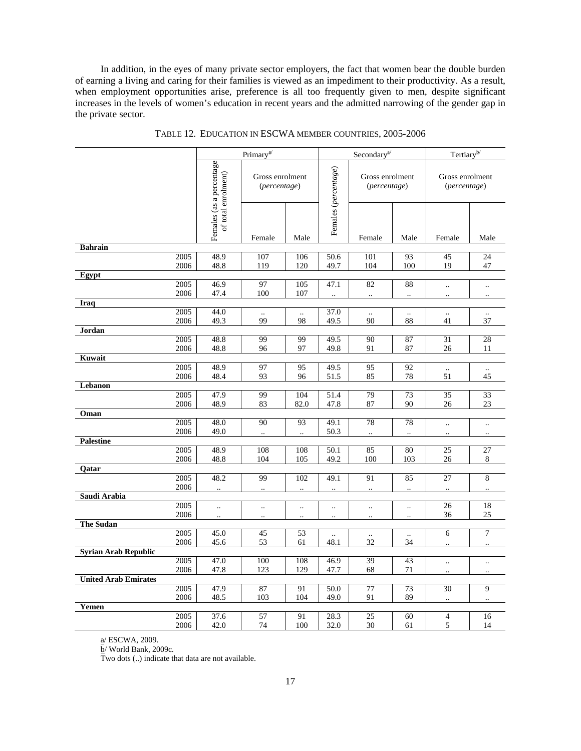In addition, in the eyes of many private sector employers, the fact that women bear the double burden of earning a living and caring for their families is viewed as an impediment to their productivity. As a result, when employment opportunities arise, preference is all too frequently given to men, despite significant increases in the levels of women's education in recent years and the admitted narrowing of the gender gap in the private sector.

|                             |              | Primary <sup>a/</sup>                           |                                         |                                   | Secondary <sup>a/</sup>  |                                   |                                   | Tertiary <sup>b</sup>             |                                   |
|-----------------------------|--------------|-------------------------------------------------|-----------------------------------------|-----------------------------------|--------------------------|-----------------------------------|-----------------------------------|-----------------------------------|-----------------------------------|
|                             |              | Females (as a percentage<br>of total enrolment) | Gross enrolment<br>(percentage)         |                                   | Females (percentage)     | Gross enrolment<br>(percentage)   |                                   | Gross enrolment<br>(percentage)   |                                   |
|                             |              |                                                 | Female                                  | Male                              |                          | Female                            | Male                              | Female                            | Male                              |
| <b>Bahrain</b>              |              |                                                 |                                         |                                   |                          |                                   |                                   |                                   |                                   |
|                             | 2005<br>2006 | 48.9<br>48.8                                    | 107<br>119                              | 106<br>120                        | 50.6<br>49.7             | 101<br>104                        | 93<br>100                         | 45<br>19                          | 24<br>47                          |
| Egypt                       |              |                                                 |                                         |                                   |                          |                                   |                                   |                                   |                                   |
|                             | 2005<br>2006 | 46.9<br>47.4                                    | 97<br>100                               | 105<br>107                        | 47.1                     | 82<br>$\ddotsc$                   | 88<br>                            | $\ddotsc$<br>                     | $\ldots$<br>                      |
| Iraq                        |              |                                                 |                                         |                                   |                          |                                   |                                   |                                   |                                   |
|                             | 2005<br>2006 | 44.0<br>49.3                                    | 99                                      | $\ddotsc$<br>98                   | 37.0<br>49.5             | $\ddotsc$<br>90                   | $\ddot{\phantom{a}}$<br>88        | $\ddot{\phantom{a}}$<br>41        | 37                                |
| Jordan                      |              |                                                 |                                         |                                   |                          |                                   |                                   |                                   |                                   |
|                             | 2005<br>2006 | 48.8<br>48.8                                    | 99<br>96                                | 99<br>97                          | 49.5<br>49.8             | 90<br>91                          | 87<br>87                          | 31<br>26                          | 28<br>11                          |
| Kuwait                      |              |                                                 |                                         |                                   |                          |                                   |                                   |                                   |                                   |
|                             | 2005<br>2006 | 48.9<br>48.4                                    | 97<br>93                                | 95<br>96                          | 49.5<br>51.5             | 95<br>85                          | 92<br>78                          | $\ddotsc$<br>51                   | $\ldots$<br>45                    |
| Lebanon                     |              |                                                 |                                         |                                   |                          |                                   |                                   |                                   |                                   |
|                             | 2005<br>2006 | 47.9<br>48.9                                    | 99<br>83                                | 104<br>82.0                       | 51.4<br>47.8             | 79<br>87                          | 73<br>90                          | 35<br>26                          | 33<br>$23\,$                      |
| Oman                        |              |                                                 |                                         |                                   |                          |                                   |                                   |                                   |                                   |
|                             | 2005<br>2006 | 48.0<br>49.0                                    | $\overline{90}$<br>$\ddot{\phantom{a}}$ | 93<br>$\ddotsc$                   | 49.1<br>50.3             | 78<br>$\ddotsc$                   | 78<br>$\ddotsc$                   | $\ddotsc$<br>$\ddot{\phantom{a}}$ | $\ddotsc$<br>$\ddot{\phantom{a}}$ |
| <b>Palestine</b>            |              |                                                 |                                         |                                   |                          |                                   |                                   |                                   |                                   |
|                             | 2005<br>2006 | 48.9<br>48.8                                    | 108<br>104                              | 108<br>105                        | 50.1<br>49.2             | 85<br>100                         | 80<br>103                         | 25<br>26                          | 27<br>$\,8\,$                     |
| Qatar                       |              |                                                 |                                         |                                   |                          |                                   |                                   |                                   |                                   |
|                             | 2005<br>2006 | 48.2<br>                                        | 99<br>$\ddotsc$                         | 102<br>$\ddotsc$                  | 49.1<br>$\ddotsc$        | 91<br>$\ddotsc$                   | 85<br>$\ddotsc$                   | 27<br>                            | 8<br>$\ddotsc$                    |
| Saudi Arabia                |              |                                                 |                                         |                                   |                          |                                   |                                   |                                   |                                   |
|                             | 2005<br>2006 | Ω.<br>$\ddot{\phantom{a}}$                      | $\ddotsc$<br>$\ddot{\phantom{a}}$       | $\ddotsc$<br>$\ddot{\phantom{a}}$ | <br>$\ddot{\phantom{a}}$ | $\ddot{\phantom{a}}$<br>$\ddotsc$ | $\ddotsc$<br>$\ddot{\phantom{a}}$ | 26<br>36                          | 18<br>25                          |
| <b>The Sudan</b>            |              |                                                 |                                         |                                   |                          |                                   |                                   |                                   |                                   |
|                             | 2005<br>2006 | 45.0<br>45.6                                    | 45<br>53                                | 53<br>61                          | 48.1                     | $\ddotsc$<br>32                   | 34                                | 6                                 | $\tau$                            |
| <b>Syrian Arab Republic</b> |              |                                                 |                                         |                                   |                          |                                   |                                   |                                   |                                   |
|                             | 2005<br>2006 | 47.0<br>47.8                                    | 100<br>123                              | 108<br>129                        | 46.9<br>47.7             | 39<br>68                          | 43<br>$71\,$                      | $\ldots$<br>                      | $\ldots$<br>                      |
| <b>United Arab Emirates</b> |              |                                                 |                                         |                                   |                          |                                   |                                   |                                   |                                   |
|                             | 2005<br>2006 | 47.9<br>48.5                                    | 87<br>103                               | 91<br>104                         | 50.0<br>49.0             | 77<br>91                          | 73<br>89                          | 30<br>$\ldots$                    | 9<br>                             |
| Yemen                       |              |                                                 |                                         |                                   |                          |                                   |                                   |                                   |                                   |
|                             | 2005<br>2006 | 37.6<br>42.0                                    | 57<br>74                                | 91<br>100                         | 28.3<br>32.0             | 25<br>30                          | 60<br>61                          | $\overline{4}$<br>5               | 16<br>14                          |
|                             |              |                                                 |                                         |                                   |                          |                                   |                                   |                                   |                                   |

TABLE 12. EDUCATION IN ESCWA MEMBER COUNTRIES, 2005-2006

a/ ESCWA, 2009.

b/ World Bank, 2009c*.*

Two dots (..) indicate that data are not available.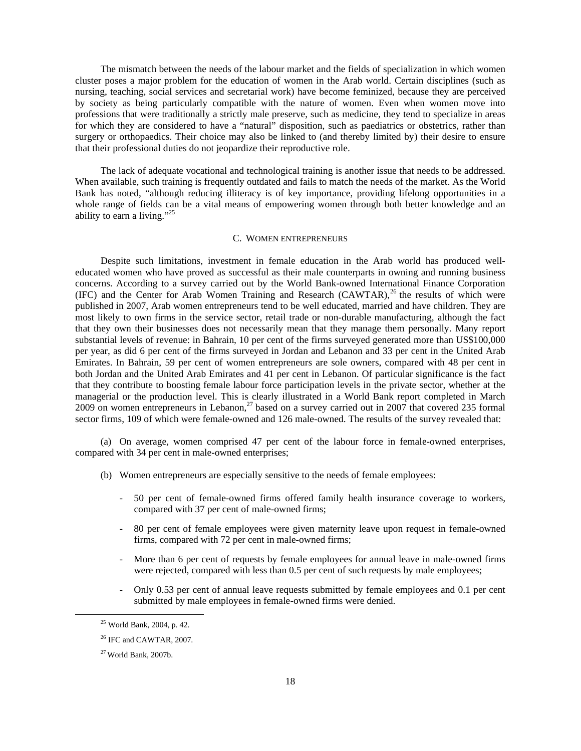The mismatch between the needs of the labour market and the fields of specialization in which women cluster poses a major problem for the education of women in the Arab world. Certain disciplines (such as nursing, teaching, social services and secretarial work) have become feminized, because they are perceived by society as being particularly compatible with the nature of women. Even when women move into professions that were traditionally a strictly male preserve, such as medicine, they tend to specialize in areas for which they are considered to have a "natural" disposition, such as paediatrics or obstetrics, rather than surgery or orthopaedics. Their choice may also be linked to (and thereby limited by) their desire to ensure that their professional duties do not jeopardize their reproductive role.

 The lack of adequate vocational and technological training is another issue that needs to be addressed. When available, such training is frequently outdated and fails to match the needs of the market. As the World Bank has noted, "although reducing illiteracy is of key importance, providing lifelong opportunities in a whole range of fields can be a vital means of empowering women through both better knowledge and an ability to earn a living."<sup>25</sup>

### C. WOMEN ENTREPRENEURS

 Despite such limitations, investment in female education in the Arab world has produced welleducated women who have proved as successful as their male counterparts in owning and running business concerns. According to a survey carried out by the World Bank-owned International Finance Corporation (IFC) and the Center for Arab Women Training and Research (CAWTAR),  $^{26}$  the results of which were published in 2007, Arab women entrepreneurs tend to be well educated, married and have children. They are most likely to own firms in the service sector, retail trade or non-durable manufacturing, although the fact that they own their businesses does not necessarily mean that they manage them personally. Many report substantial levels of revenue: in Bahrain, 10 per cent of the firms surveyed generated more than US\$100,000 per year, as did 6 per cent of the firms surveyed in Jordan and Lebanon and 33 per cent in the United Arab Emirates. In Bahrain, 59 per cent of women entrepreneurs are sole owners, compared with 48 per cent in both Jordan and the United Arab Emirates and 41 per cent in Lebanon. Of particular significance is the fact that they contribute to boosting female labour force participation levels in the private sector, whether at the managerial or the production level. This is clearly illustrated in a World Bank report completed in March  $2009$  on women entrepreneurs in Lebanon,<sup>27</sup> based on a survey carried out in 2007 that covered 235 formal sector firms, 109 of which were female-owned and 126 male-owned. The results of the survey revealed that:

 (a) On average, women comprised 47 per cent of the labour force in female-owned enterprises, compared with 34 per cent in male-owned enterprises;

- (b) Women entrepreneurs are especially sensitive to the needs of female employees:
	- 50 per cent of female-owned firms offered family health insurance coverage to workers, compared with 37 per cent of male-owned firms;
	- 80 per cent of female employees were given maternity leave upon request in female-owned firms, compared with 72 per cent in male-owned firms;
	- More than 6 per cent of requests by female employees for annual leave in male-owned firms were rejected, compared with less than 0.5 per cent of such requests by male employees;
	- Only 0.53 per cent of annual leave requests submitted by female employees and 0.1 per cent submitted by male employees in female-owned firms were denied.

 <sup>25</sup> World Bank, 2004, p. 42.

<sup>26</sup> IFC and CAWTAR*,* 2007.

 $27$  World Bank, 2007b.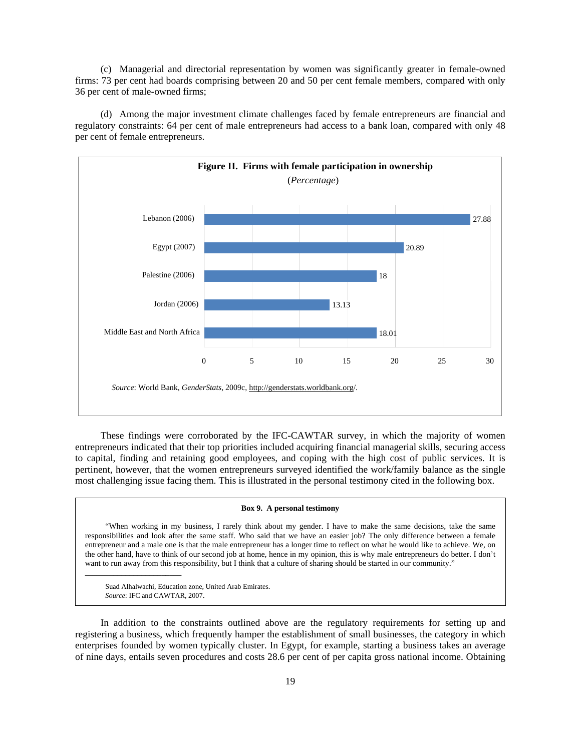(c) Managerial and directorial representation by women was significantly greater in female-owned firms: 73 per cent had boards comprising between 20 and 50 per cent female members, compared with only 36 per cent of male-owned firms;

 (d) Among the major investment climate challenges faced by female entrepreneurs are financial and regulatory constraints: 64 per cent of male entrepreneurs had access to a bank loan, compared with only 48 per cent of female entrepreneurs.



 These findings were corroborated by the IFC-CAWTAR survey, in which the majority of women entrepreneurs indicated that their top priorities included acquiring financial managerial skills, securing access to capital, finding and retaining good employees, and coping with the high cost of public services. It is pertinent, however, that the women entrepreneurs surveyed identified the work/family balance as the single most challenging issue facing them. This is illustrated in the personal testimony cited in the following box.

#### **Box 9. A personal testimony**

 "When working in my business, I rarely think about my gender. I have to make the same decisions, take the same responsibilities and look after the same staff. Who said that we have an easier job? The only difference between a female entrepreneur and a male one is that the male entrepreneur has a longer time to reflect on what he would like to achieve. We, on the other hand, have to think of our second job at home, hence in my opinion, this is why male entrepreneurs do better. I don't want to run away from this responsibility, but I think that a culture of sharing should be started in our community."

 Suad Alhalwachi, Education zone, United Arab Emirates.  *Source*: IFC and CAWTAR, 2007.

 $\overline{\phantom{a}}$  , and the set of the set of the set of the set of the set of the set of the set of the set of the set of the set of the set of the set of the set of the set of the set of the set of the set of the set of the s

 In addition to the constraints outlined above are the regulatory requirements for setting up and registering a business, which frequently hamper the establishment of small businesses, the category in which enterprises founded by women typically cluster. In Egypt, for example, starting a business takes an average of nine days, entails seven procedures and costs 28.6 per cent of per capita gross national income. Obtaining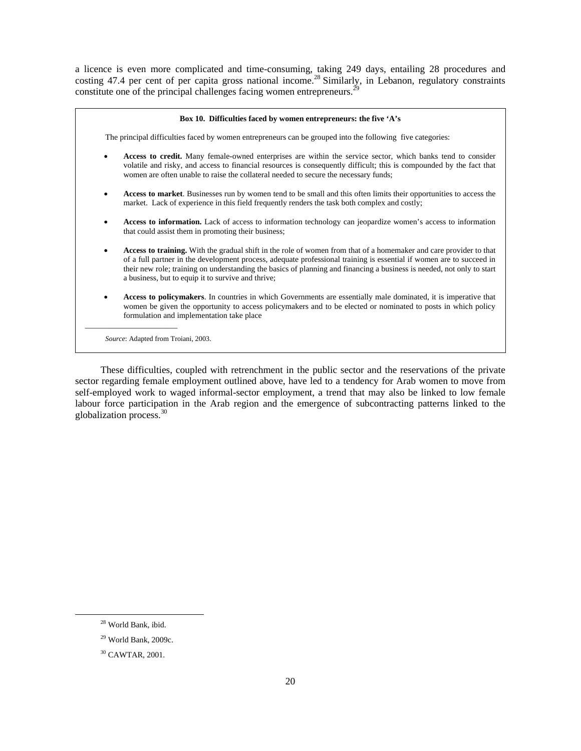a licence is even more complicated and time-consuming, taking 249 days, entailing 28 procedures and costing 47.4 per cent of per capita gross national income.<sup>28</sup> Similarly, in Lebanon, regulatory constraints constitute one of the principal challenges facing women entrepreneurs.<sup>29</sup>

| Box 10. Difficulties faced by women entrepreneurs: the five 'A's                                                                                                                                                                                                                                                                                                                                                           |  |  |  |  |  |  |  |
|----------------------------------------------------------------------------------------------------------------------------------------------------------------------------------------------------------------------------------------------------------------------------------------------------------------------------------------------------------------------------------------------------------------------------|--|--|--|--|--|--|--|
| The principal difficulties faced by women entrepreneurs can be grouped into the following five categories:                                                                                                                                                                                                                                                                                                                 |  |  |  |  |  |  |  |
| Access to credit. Many female-owned enterprises are within the service sector, which banks tend to consider<br>volatile and risky, and access to financial resources is consequently difficult; this is compounded by the fact that<br>women are often unable to raise the collateral needed to secure the necessary funds;                                                                                                |  |  |  |  |  |  |  |
| Access to market. Businesses run by women tend to be small and this often limits their opportunities to access the<br>market. Lack of experience in this field frequently renders the task both complex and costly;                                                                                                                                                                                                        |  |  |  |  |  |  |  |
| Access to information. Lack of access to information technology can jeopardize women's access to information<br>that could assist them in promoting their business;                                                                                                                                                                                                                                                        |  |  |  |  |  |  |  |
| Access to training. With the gradual shift in the role of women from that of a homemaker and care provider to that<br>of a full partner in the development process, adequate professional training is essential if women are to succeed in<br>their new role; training on understanding the basics of planning and financing a business is needed, not only to start<br>a business, but to equip it to survive and thrive; |  |  |  |  |  |  |  |
| Access to policymakers. In countries in which Governments are essentially male dominated, it is imperative that<br>women be given the opportunity to access policymakers and to be elected or nominated to posts in which policy<br>formulation and implementation take place                                                                                                                                              |  |  |  |  |  |  |  |
| Source: Adapted from Troiani, 2003.                                                                                                                                                                                                                                                                                                                                                                                        |  |  |  |  |  |  |  |

 These difficulties, coupled with retrenchment in the public sector and the reservations of the private sector regarding female employment outlined above, have led to a tendency for Arab women to move from self-employed work to waged informal-sector employment, a trend that may also be linked to low female labour force participation in the Arab region and the emergence of subcontracting patterns linked to the globalization process.30

 <sup>28</sup> World Bank, ibid.

<sup>29</sup> World Bank, 2009c.

<sup>30</sup> CAWTAR, 2001.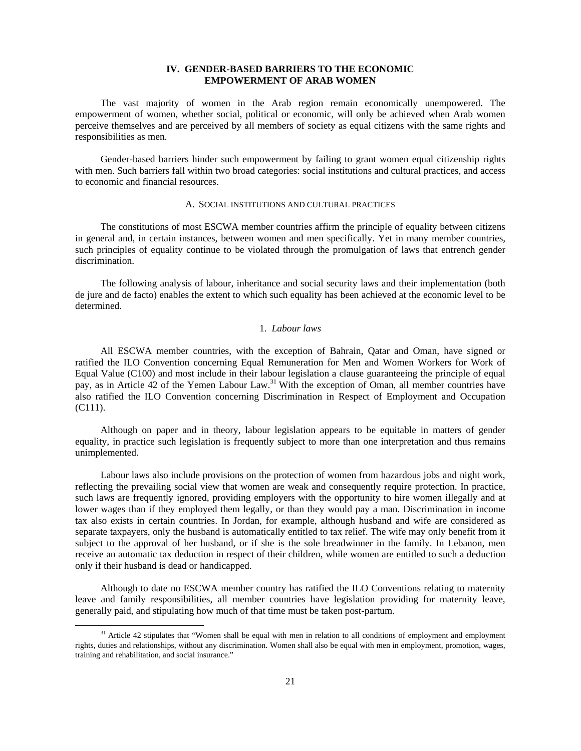## **IV. GENDER-BASED BARRIERS TO THE ECONOMIC EMPOWERMENT OF ARAB WOMEN**

 The vast majority of women in the Arab region remain economically unempowered. The empowerment of women, whether social, political or economic, will only be achieved when Arab women perceive themselves and are perceived by all members of society as equal citizens with the same rights and responsibilities as men.

 Gender-based barriers hinder such empowerment by failing to grant women equal citizenship rights with men. Such barriers fall within two broad categories: social institutions and cultural practices, and access to economic and financial resources.

### A. SOCIAL INSTITUTIONS AND CULTURAL PRACTICES

 The constitutions of most ESCWA member countries affirm the principle of equality between citizens in general and, in certain instances, between women and men specifically. Yet in many member countries, such principles of equality continue to be violated through the promulgation of laws that entrench gender discrimination.

 The following analysis of labour, inheritance and social security laws and their implementation (both de jure and de facto) enables the extent to which such equality has been achieved at the economic level to be determined.

### 1. *Labour laws*

 All ESCWA member countries, with the exception of Bahrain, Qatar and Oman, have signed or ratified the ILO Convention concerning Equal Remuneration for Men and Women Workers for Work of Equal Value (C100) and most include in their labour legislation a clause guaranteeing the principle of equal pay, as in Article 42 of the Yemen Labour Law.<sup>31</sup> With the exception of Oman, all member countries have also ratified the ILO Convention concerning Discrimination in Respect of Employment and Occupation (C111).

 Although on paper and in theory, labour legislation appears to be equitable in matters of gender equality, in practice such legislation is frequently subject to more than one interpretation and thus remains unimplemented.

 Labour laws also include provisions on the protection of women from hazardous jobs and night work, reflecting the prevailing social view that women are weak and consequently require protection. In practice, such laws are frequently ignored, providing employers with the opportunity to hire women illegally and at lower wages than if they employed them legally, or than they would pay a man. Discrimination in income tax also exists in certain countries. In Jordan, for example, although husband and wife are considered as separate taxpayers, only the husband is automatically entitled to tax relief. The wife may only benefit from it subject to the approval of her husband, or if she is the sole breadwinner in the family. In Lebanon, men receive an automatic tax deduction in respect of their children, while women are entitled to such a deduction only if their husband is dead or handicapped.

 Although to date no ESCWA member country has ratified the ILO Conventions relating to maternity leave and family responsibilities, all member countries have legislation providing for maternity leave, generally paid, and stipulating how much of that time must be taken post-partum.

<sup>&</sup>lt;sup>31</sup> Article 42 stipulates that "Women shall be equal with men in relation to all conditions of employment and employment rights, duties and relationships, without any discrimination. Women shall also be equal with men in employment, promotion, wages, training and rehabilitation, and social insurance."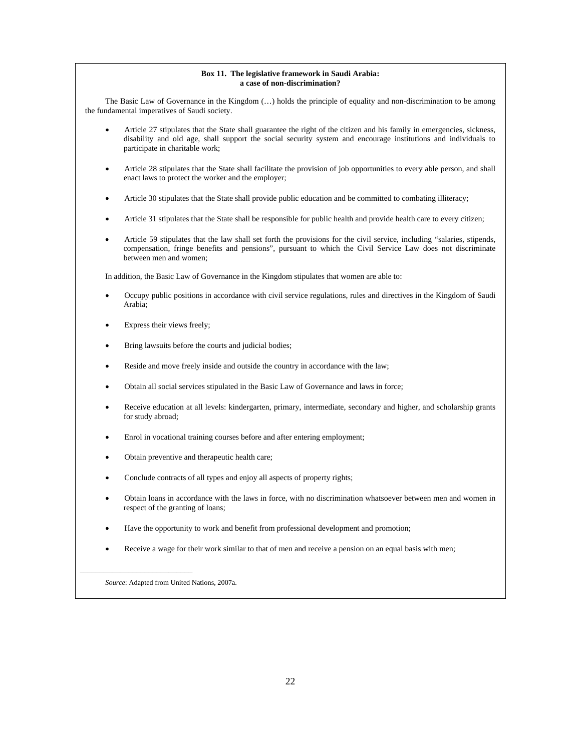#### **Box 11. The legislative framework in Saudi Arabia: a case of non-discrimination?**

 The Basic Law of Governance in the Kingdom (…) holds the principle of equality and non-discrimination to be among the fundamental imperatives of Saudi society.

- Article 27 stipulates that the State shall guarantee the right of the citizen and his family in emergencies, sickness, disability and old age, shall support the social security system and encourage institutions and individuals to participate in charitable work;
- Article 28 stipulates that the State shall facilitate the provision of job opportunities to every able person, and shall enact laws to protect the worker and the employer;
- Article 30 stipulates that the State shall provide public education and be committed to combating illiteracy;
- Article 31 stipulates that the State shall be responsible for public health and provide health care to every citizen;
- Article 59 stipulates that the law shall set forth the provisions for the civil service, including "salaries, stipends, compensation, fringe benefits and pensions", pursuant to which the Civil Service Law does not discriminate between men and women;

In addition, the Basic Law of Governance in the Kingdom stipulates that women are able to:

- Occupy public positions in accordance with civil service regulations, rules and directives in the Kingdom of Saudi Arabia;
- Express their views freely;
- Bring lawsuits before the courts and judicial bodies;
- Reside and move freely inside and outside the country in accordance with the law;
- Obtain all social services stipulated in the Basic Law of Governance and laws in force;
- Receive education at all levels: kindergarten, primary, intermediate, secondary and higher, and scholarship grants for study abroad;
- Enrol in vocational training courses before and after entering employment;
- Obtain preventive and therapeutic health care;
- Conclude contracts of all types and enjoy all aspects of property rights;
- Obtain loans in accordance with the laws in force, with no discrimination whatsoever between men and women in respect of the granting of loans;
- Have the opportunity to work and benefit from professional development and promotion;
- Receive a wage for their work similar to that of men and receive a pension on an equal basis with men;

 *Source*: Adapted from United Nations, 2007a.

 $\overline{\phantom{a}}$  , and the set of the set of the set of the set of the set of the set of the set of the set of the set of the set of the set of the set of the set of the set of the set of the set of the set of the set of the s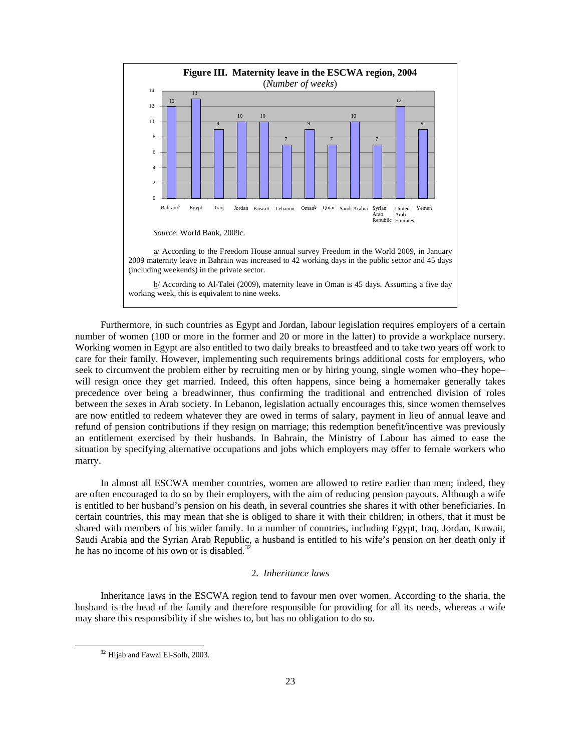

 Furthermore, in such countries as Egypt and Jordan, labour legislation requires employers of a certain number of women (100 or more in the former and 20 or more in the latter) to provide a workplace nursery. Working women in Egypt are also entitled to two daily breaks to breastfeed and to take two years off work to care for their family. However, implementing such requirements brings additional costs for employers, who seek to circumvent the problem either by recruiting men or by hiring young, single women who–they hope– will resign once they get married. Indeed, this often happens, since being a homemaker generally takes precedence over being a breadwinner, thus confirming the traditional and entrenched division of roles between the sexes in Arab society. In Lebanon, legislation actually encourages this, since women themselves are now entitled to redeem whatever they are owed in terms of salary, payment in lieu of annual leave and refund of pension contributions if they resign on marriage; this redemption benefit/incentive was previously an entitlement exercised by their husbands. In Bahrain, the Ministry of Labour has aimed to ease the situation by specifying alternative occupations and jobs which employers may offer to female workers who marry.

 In almost all ESCWA member countries, women are allowed to retire earlier than men; indeed, they are often encouraged to do so by their employers, with the aim of reducing pension payouts. Although a wife is entitled to her husband's pension on his death, in several countries she shares it with other beneficiaries. In certain countries, this may mean that she is obliged to share it with their children; in others, that it must be shared with members of his wider family. In a number of countries, including Egypt, Iraq, Jordan, Kuwait, Saudi Arabia and the Syrian Arab Republic, a husband is entitled to his wife's pension on her death only if he has no income of his own or is disabled.<sup>32</sup>

### 2. *Inheritance laws*

 Inheritance laws in the ESCWA region tend to favour men over women. According to the sharia, the husband is the head of the family and therefore responsible for providing for all its needs, whereas a wife may share this responsibility if she wishes to, but has no obligation to do so.

<sup>&</sup>lt;sup>32</sup> Hijab and Fawzi El-Solh, 2003.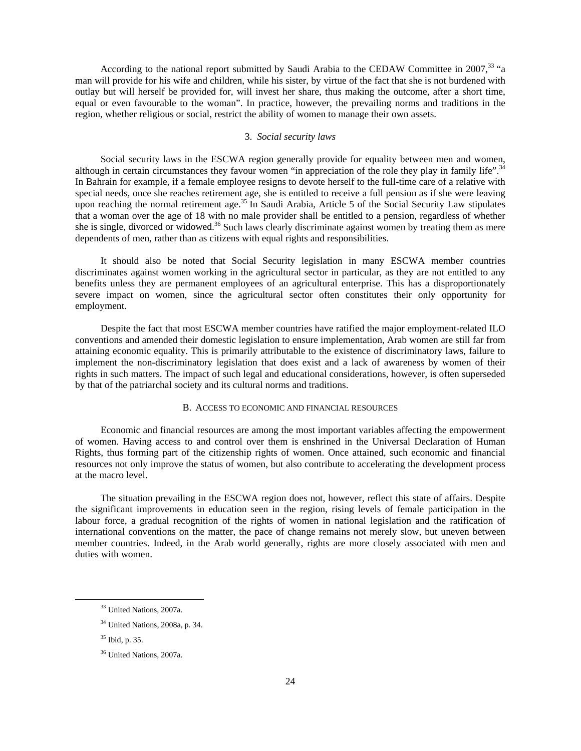According to the national report submitted by Saudi Arabia to the CEDAW Committee in 2007,<sup>33</sup> "a man will provide for his wife and children, while his sister, by virtue of the fact that she is not burdened with outlay but will herself be provided for, will invest her share, thus making the outcome, after a short time, equal or even favourable to the woman". In practice, however, the prevailing norms and traditions in the region, whether religious or social, restrict the ability of women to manage their own assets.

### 3. *Social security laws*

 Social security laws in the ESCWA region generally provide for equality between men and women, although in certain circumstances they favour women "in appreciation of the role they play in family life". In Bahrain for example, if a female employee resigns to devote herself to the full-time care of a relative with special needs, once she reaches retirement age, she is entitled to receive a full pension as if she were leaving upon reaching the normal retirement age.<sup>35</sup> In Saudi Arabia, Article 5 of the Social Security Law stipulates that a woman over the age of 18 with no male provider shall be entitled to a pension, regardless of whether she is single, divorced or widowed.<sup>36</sup> Such laws clearly discriminate against women by treating them as mere dependents of men, rather than as citizens with equal rights and responsibilities.

 It should also be noted that Social Security legislation in many ESCWA member countries discriminates against women working in the agricultural sector in particular, as they are not entitled to any benefits unless they are permanent employees of an agricultural enterprise. This has a disproportionately severe impact on women, since the agricultural sector often constitutes their only opportunity for employment.

 Despite the fact that most ESCWA member countries have ratified the major employment-related ILO conventions and amended their domestic legislation to ensure implementation, Arab women are still far from attaining economic equality. This is primarily attributable to the existence of discriminatory laws, failure to implement the non-discriminatory legislation that does exist and a lack of awareness by women of their rights in such matters. The impact of such legal and educational considerations, however, is often superseded by that of the patriarchal society and its cultural norms and traditions.

### B. ACCESS TO ECONOMIC AND FINANCIAL RESOURCES

 Economic and financial resources are among the most important variables affecting the empowerment of women. Having access to and control over them is enshrined in the Universal Declaration of Human Rights, thus forming part of the citizenship rights of women. Once attained, such economic and financial resources not only improve the status of women, but also contribute to accelerating the development process at the macro level.

 The situation prevailing in the ESCWA region does not, however, reflect this state of affairs. Despite the significant improvements in education seen in the region, rising levels of female participation in the labour force, a gradual recognition of the rights of women in national legislation and the ratification of international conventions on the matter, the pace of change remains not merely slow, but uneven between member countries. Indeed, in the Arab world generally, rights are more closely associated with men and duties with women.

 <sup>33</sup> United Nations, 2007a.

<sup>34</sup> United Nations, 2008a, p. 34.

<sup>35</sup> Ibid, p. 35.

<sup>36</sup> United Nations, 2007a.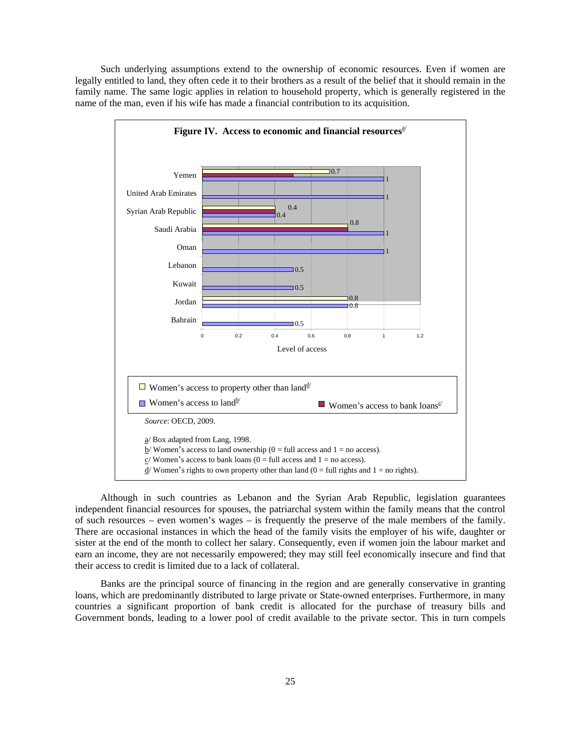Such underlying assumptions extend to the ownership of economic resources. Even if women are legally entitled to land, they often cede it to their brothers as a result of the belief that it should remain in the family name. The same logic applies in relation to household property, which is generally registered in the name of the man, even if his wife has made a financial contribution to its acquisition.



 Although in such countries as Lebanon and the Syrian Arab Republic, legislation guarantees independent financial resources for spouses, the patriarchal system within the family means that the control of such resources – even women's wages – is frequently the preserve of the male members of the family. There are occasional instances in which the head of the family visits the employer of his wife, daughter or sister at the end of the month to collect her salary. Consequently, even if women join the labour market and earn an income, they are not necessarily empowered; they may still feel economically insecure and find that their access to credit is limited due to a lack of collateral.

 Banks are the principal source of financing in the region and are generally conservative in granting loans, which are predominantly distributed to large private or State-owned enterprises. Furthermore, in many countries a significant proportion of bank credit is allocated for the purchase of treasury bills and Government bonds, leading to a lower pool of credit available to the private sector. This in turn compels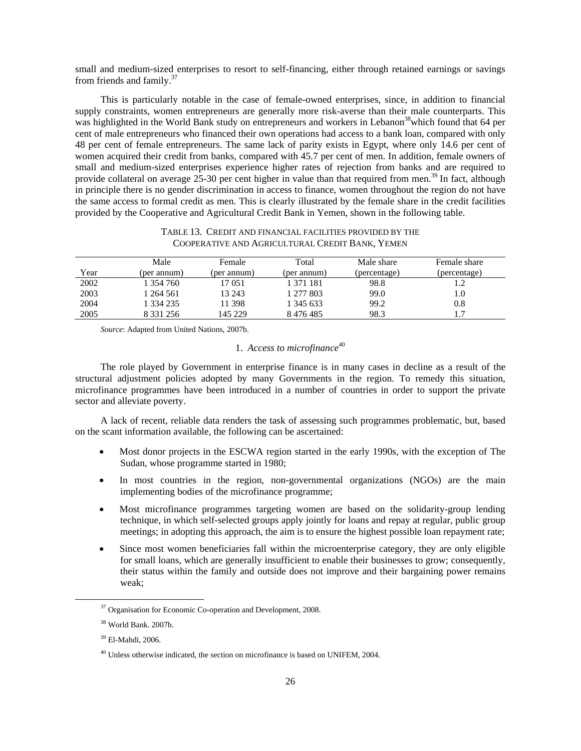small and medium-sized enterprises to resort to self-financing, either through retained earnings or savings from friends and family. $37$ 

 This is particularly notable in the case of female-owned enterprises, since, in addition to financial supply constraints, women entrepreneurs are generally more risk-averse than their male counterparts. This was highlighted in the World Bank study on entrepreneurs and workers in Lebanon<sup>38</sup> which found that 64 per cent of male entrepreneurs who financed their own operations had access to a bank loan, compared with only 48 per cent of female entrepreneurs. The same lack of parity exists in Egypt, where only 14.6 per cent of women acquired their credit from banks, compared with 45.7 per cent of men. In addition, female owners of small and medium-sized enterprises experience higher rates of rejection from banks and are required to provide collateral on average 25-30 per cent higher in value than that required from men.<sup>39</sup> In fact, although in principle there is no gender discrimination in access to finance, women throughout the region do not have the same access to formal credit as men. This is clearly illustrated by the female share in the credit facilities provided by the Cooperative and Agricultural Credit Bank in Yemen, shown in the following table.

### TABLE 13. CREDIT AND FINANCIAL FACILITIES PROVIDED BY THE COOPERATIVE AND AGRICULTURAL CREDIT BANK, YEMEN

|      | Male          | Female      | Total       | Male share   | Female share |
|------|---------------|-------------|-------------|--------------|--------------|
| Year | (per annum)   | (per annum) | (per annum) | (percentage) | (percentage) |
| 2002 | 1 354 760     | 17 051      | 1 371 181   | 98.8         |              |
| 2003 | 264 561       | 13 24 3     | 1 277 803   | 99.0         | 1.0          |
| 2004 | 1 334 235     | 11 398      | 1 345 633   | 99.2         | 0.8          |
| 2005 | 8 3 3 1 2 5 6 | 145 229     | 8476485     | 98.3         |              |

*Source*: Adapted from United Nations, 2007b.

# 1. *Access to microfinance*<sup>40</sup>

 The role played by Government in enterprise finance is in many cases in decline as a result of the structural adjustment policies adopted by many Governments in the region. To remedy this situation, microfinance programmes have been introduced in a number of countries in order to support the private sector and alleviate poverty.

 A lack of recent, reliable data renders the task of assessing such programmes problematic, but, based on the scant information available, the following can be ascertained:

- Most donor projects in the ESCWA region started in the early 1990s, with the exception of The Sudan, whose programme started in 1980;
- In most countries in the region, non-governmental organizations (NGOs) are the main implementing bodies of the microfinance programme;
- Most microfinance programmes targeting women are based on the solidarity-group lending technique, in which self-selected groups apply jointly for loans and repay at regular, public group meetings; in adopting this approach, the aim is to ensure the highest possible loan repayment rate;
- Since most women beneficiaries fall within the microenterprise category, they are only eligible for small loans, which are generally insufficient to enable their businesses to grow; consequently, their status within the family and outside does not improve and their bargaining power remains weak;

<sup>&</sup>lt;sup>37</sup> Organisation for Economic Co-operation and Development, 2008.

 <sup>38</sup> World Bank. 2007b.

<sup>39</sup> El-Mahdi, 2006.

<sup>&</sup>lt;sup>40</sup> Unless otherwise indicated, the section on microfinance is based on UNIFEM, 2004.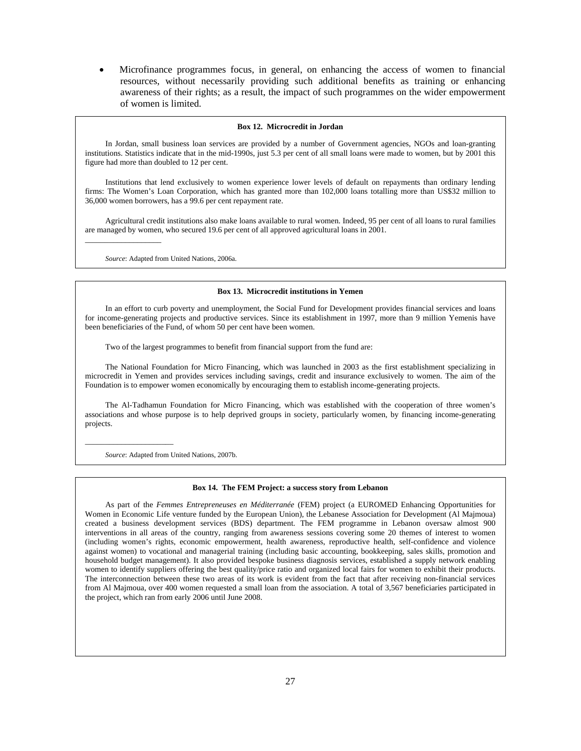• Microfinance programmes focus, in general, on enhancing the access of women to financial resources, without necessarily providing such additional benefits as training or enhancing awareness of their rights; as a result, the impact of such programmes on the wider empowerment of women is limited.

#### **Box 12. Microcredit in Jordan**

 In Jordan, small business loan services are provided by a number of Government agencies, NGOs and loan-granting institutions. Statistics indicate that in the mid-1990s, just 5.3 per cent of all small loans were made to women, but by 2001 this figure had more than doubled to 12 per cent.

 Institutions that lend exclusively to women experience lower levels of default on repayments than ordinary lending firms: The Women's Loan Corporation, which has granted more than 102,000 loans totalling more than US\$32 million to 36,000 women borrowers, has a 99.6 per cent repayment rate.

 Agricultural credit institutions also make loans available to rural women. Indeed, 95 per cent of all loans to rural families are managed by women, who secured 19.6 per cent of all approved agricultural loans in 2001.

*Source*: Adapted from United Nations, 2006a.

 $\_$ 

#### **Box 13. Microcredit institutions in Yemen**

 In an effort to curb poverty and unemployment, the Social Fund for Development provides financial services and loans for income-generating projects and productive services. Since its establishment in 1997, more than 9 million Yemenis have been beneficiaries of the Fund, of whom 50 per cent have been women.

Two of the largest programmes to benefit from financial support from the fund are:

 The National Foundation for Micro Financing, which was launched in 2003 as the first establishment specializing in microcredit in Yemen and provides services including savings, credit and insurance exclusively to women. The aim of the Foundation is to empower women economically by encouraging them to establish income-generating projects.

 The Al-Tadhamun Foundation for Micro Financing, which was established with the cooperation of three women's associations and whose purpose is to help deprived groups in society, particularly women, by financing income-generating projects.

 *Source*: Adapted from United Nations, 2007b.

 $\overline{\phantom{a}}$  , and the set of the set of the set of the set of the set of the set of the set of the set of the set of the set of the set of the set of the set of the set of the set of the set of the set of the set of the s

#### **Box 14. The FEM Project: a success story from Lebanon**

 As part of the *Femmes Entrepreneuses en Méditerranée* (FEM) project (a EUROMED Enhancing Opportunities for Women in Economic Life venture funded by the European Union), the Lebanese Association for Development (Al Majmoua) created a business development services (BDS) department. The FEM programme in Lebanon oversaw almost 900 interventions in all areas of the country, ranging from awareness sessions covering some 20 themes of interest to women (including women's rights, economic empowerment, health awareness, reproductive health, self-confidence and violence against women) to vocational and managerial training (including basic accounting, bookkeeping, sales skills, promotion and household budget management). It also provided bespoke business diagnosis services, established a supply network enabling women to identify suppliers offering the best quality/price ratio and organized local fairs for women to exhibit their products. The interconnection between these two areas of its work is evident from the fact that after receiving non-financial services from Al Majmoua, over 400 women requested a small loan from the association. A total of 3,567 beneficiaries participated in the project, which ran from early 2006 until June 2008.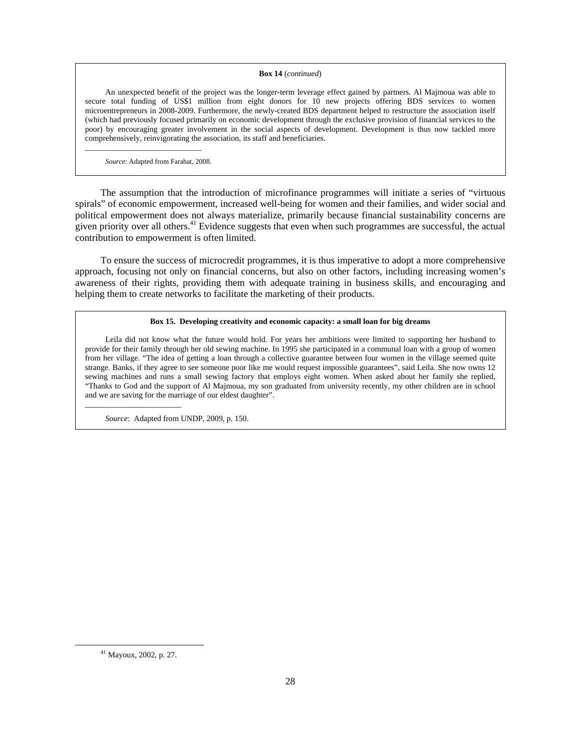## **Box 14** (*continued*)

 An unexpected benefit of the project was the longer-term leverage effect gained by partners. Al Majmoua was able to secure total funding of US\$1 million from eight donors for 10 new projects offering BDS services to women microentrepreneurs in 2008-2009. Furthermore, the newly-created BDS department helped to restructure the association itself (which had previously focused primarily on economic development through the exclusive provision of financial services to the poor) by encouraging greater involvement in the social aspects of development. Development is thus now tackled more comprehensively, reinvigorating the association, its staff and beneficiaries.

 *Source*: Adapted from Farahat, 2008.

 $\overline{\phantom{a}}$  , and the set of the set of the set of the set of the set of the set of the set of the set of the set of the set of the set of the set of the set of the set of the set of the set of the set of the set of the s

 The assumption that the introduction of microfinance programmes will initiate a series of "virtuous spirals" of economic empowerment, increased well-being for women and their families, and wider social and political empowerment does not always materialize, primarily because financial sustainability concerns are given priority over all others. $41$  Evidence suggests that even when such programmes are successful, the actual contribution to empowerment is often limited.

 To ensure the success of microcredit programmes, it is thus imperative to adopt a more comprehensive approach, focusing not only on financial concerns, but also on other factors, including increasing women's awareness of their rights, providing them with adequate training in business skills, and encouraging and helping them to create networks to facilitate the marketing of their products.

### **Box 15. Developing creativity and economic capacity: a small loan for big dreams**

 Leila did not know what the future would hold. For years her ambitions were limited to supporting her husband to provide for their family through her old sewing machine. In 1995 she participated in a communal loan with a group of women from her village. "The idea of getting a loan through a collective guarantee between four women in the village seemed quite strange. Banks, if they agree to see someone poor like me would request impossible guarantees", said Leila. She now owns 12 sewing machines and runs a small sewing factory that employs eight women. When asked about her family she replied, "Thanks to God and the support of Al Majmoua, my son graduated from university recently, my other children are in school and we are saving for the marriage of our eldest daughter".

 *Source*: Adapted from UNDP, 2009, p. 150.

 $\overline{\phantom{a}}$  , and the set of the set of the set of the set of the set of the set of the set of the set of the set of the set of the set of the set of the set of the set of the set of the set of the set of the set of the s

 <sup>41</sup> Mayoux, 2002, p. 27.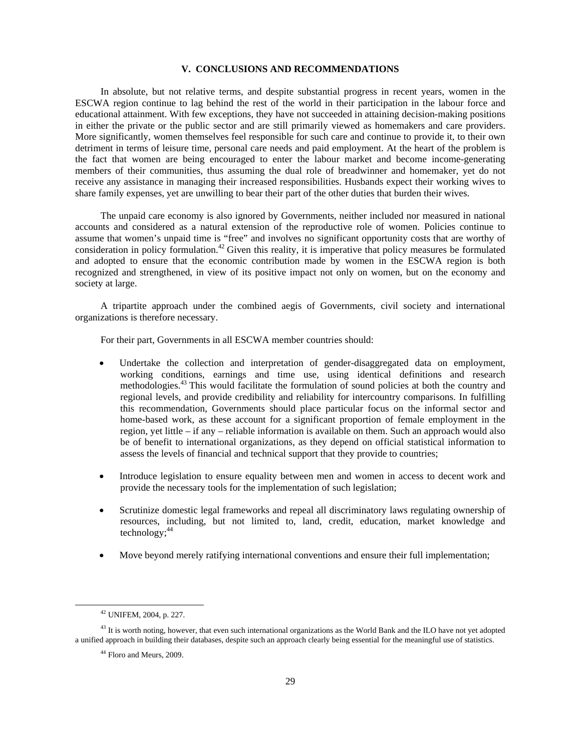### **V. CONCLUSIONS AND RECOMMENDATIONS**

 In absolute, but not relative terms, and despite substantial progress in recent years, women in the ESCWA region continue to lag behind the rest of the world in their participation in the labour force and educational attainment. With few exceptions, they have not succeeded in attaining decision-making positions in either the private or the public sector and are still primarily viewed as homemakers and care providers. More significantly, women themselves feel responsible for such care and continue to provide it, to their own detriment in terms of leisure time, personal care needs and paid employment. At the heart of the problem is the fact that women are being encouraged to enter the labour market and become income-generating members of their communities, thus assuming the dual role of breadwinner and homemaker, yet do not receive any assistance in managing their increased responsibilities. Husbands expect their working wives to share family expenses, yet are unwilling to bear their part of the other duties that burden their wives.

 The unpaid care economy is also ignored by Governments, neither included nor measured in national accounts and considered as a natural extension of the reproductive role of women. Policies continue to assume that women's unpaid time is "free" and involves no significant opportunity costs that are worthy of consideration in policy formulation.<sup>42</sup> Given this reality, it is imperative that policy measures be formulated and adopted to ensure that the economic contribution made by women in the ESCWA region is both recognized and strengthened, in view of its positive impact not only on women, but on the economy and society at large.

 A tripartite approach under the combined aegis of Governments, civil society and international organizations is therefore necessary.

For their part, Governments in all ESCWA member countries should:

- Undertake the collection and interpretation of gender-disaggregated data on employment, working conditions, earnings and time use, using identical definitions and research methodologies.<sup>43</sup> This would facilitate the formulation of sound policies at both the country and regional levels, and provide credibility and reliability for intercountry comparisons. In fulfilling this recommendation, Governments should place particular focus on the informal sector and home-based work, as these account for a significant proportion of female employment in the region, yet little – if any – reliable information is available on them. Such an approach would also be of benefit to international organizations, as they depend on official statistical information to assess the levels of financial and technical support that they provide to countries;
- Introduce legislation to ensure equality between men and women in access to decent work and provide the necessary tools for the implementation of such legislation;
- Scrutinize domestic legal frameworks and repeal all discriminatory laws regulating ownership of resources, including, but not limited to, land, credit, education, market knowledge and technology; $44$
- Move beyond merely ratifying international conventions and ensure their full implementation;

 <sup>42</sup> UNIFEM, 2004, p. 227.

<sup>&</sup>lt;sup>43</sup> It is worth noting, however, that even such international organizations as the World Bank and the ILO have not yet adopted a unified approach in building their databases, despite such an approach clearly being essential for the meaningful use of statistics.

<sup>&</sup>lt;sup>44</sup> Floro and Meurs, 2009.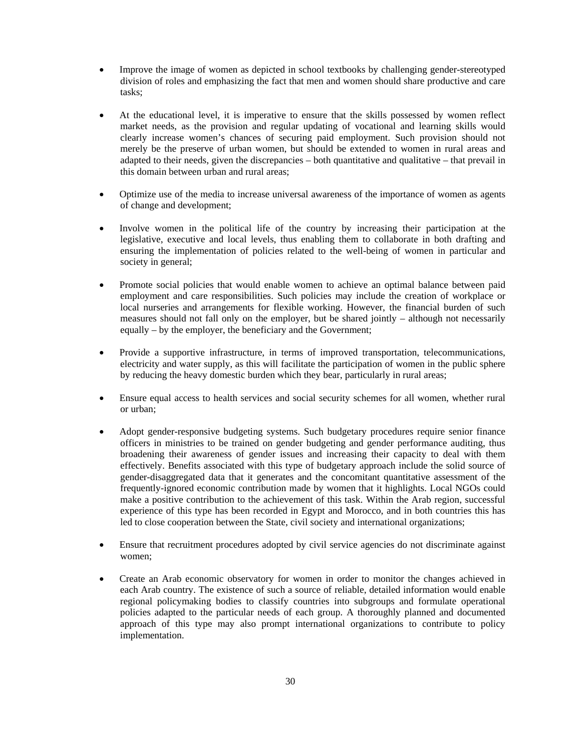- Improve the image of women as depicted in school textbooks by challenging gender-stereotyped division of roles and emphasizing the fact that men and women should share productive and care tasks;
- At the educational level, it is imperative to ensure that the skills possessed by women reflect market needs, as the provision and regular updating of vocational and learning skills would clearly increase women's chances of securing paid employment. Such provision should not merely be the preserve of urban women, but should be extended to women in rural areas and adapted to their needs, given the discrepancies – both quantitative and qualitative – that prevail in this domain between urban and rural areas;
- Optimize use of the media to increase universal awareness of the importance of women as agents of change and development;
- Involve women in the political life of the country by increasing their participation at the legislative, executive and local levels, thus enabling them to collaborate in both drafting and ensuring the implementation of policies related to the well-being of women in particular and society in general;
- Promote social policies that would enable women to achieve an optimal balance between paid employment and care responsibilities. Such policies may include the creation of workplace or local nurseries and arrangements for flexible working. However, the financial burden of such measures should not fall only on the employer, but be shared jointly – although not necessarily equally – by the employer, the beneficiary and the Government;
- Provide a supportive infrastructure, in terms of improved transportation, telecommunications, electricity and water supply, as this will facilitate the participation of women in the public sphere by reducing the heavy domestic burden which they bear, particularly in rural areas;
- Ensure equal access to health services and social security schemes for all women, whether rural or urban;
- Adopt gender-responsive budgeting systems. Such budgetary procedures require senior finance officers in ministries to be trained on gender budgeting and gender performance auditing, thus broadening their awareness of gender issues and increasing their capacity to deal with them effectively. Benefits associated with this type of budgetary approach include the solid source of gender-disaggregated data that it generates and the concomitant quantitative assessment of the frequently-ignored economic contribution made by women that it highlights. Local NGOs could make a positive contribution to the achievement of this task. Within the Arab region, successful experience of this type has been recorded in Egypt and Morocco, and in both countries this has led to close cooperation between the State, civil society and international organizations;
- Ensure that recruitment procedures adopted by civil service agencies do not discriminate against women;
- Create an Arab economic observatory for women in order to monitor the changes achieved in each Arab country. The existence of such a source of reliable, detailed information would enable regional policymaking bodies to classify countries into subgroups and formulate operational policies adapted to the particular needs of each group. A thoroughly planned and documented approach of this type may also prompt international organizations to contribute to policy implementation.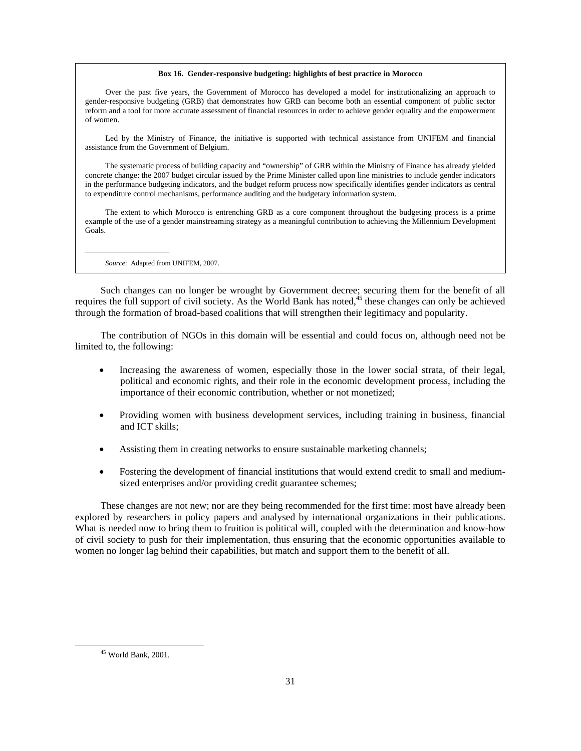#### **Box 16. Gender-responsive budgeting: highlights of best practice in Morocco**

 Over the past five years, the Government of Morocco has developed a model for institutionalizing an approach to gender-responsive budgeting (GRB) that demonstrates how GRB can become both an essential component of public sector reform and a tool for more accurate assessment of financial resources in order to achieve gender equality and the empowerment of women.

 Led by the Ministry of Finance, the initiative is supported with technical assistance from UNIFEM and financial assistance from the Government of Belgium.

 The systematic process of building capacity and "ownership" of GRB within the Ministry of Finance has already yielded concrete change: the 2007 budget circular issued by the Prime Minister called upon line ministries to include gender indicators in the performance budgeting indicators, and the budget reform process now specifically identifies gender indicators as central to expenditure control mechanisms, performance auditing and the budgetary information system.

 The extent to which Morocco is entrenching GRB as a core component throughout the budgeting process is a prime example of the use of a gender mainstreaming strategy as a meaningful contribution to achieving the Millennium Development Goals.

 *Source*: Adapted from UNIFEM, 2007.

 $\overline{\phantom{a}}$  , and the set of the set of the set of the set of the set of the set of the set of the set of the set of the set of the set of the set of the set of the set of the set of the set of the set of the set of the s

 Such changes can no longer be wrought by Government decree; securing them for the benefit of all requires the full support of civil society. As the World Bank has noted,<sup>45</sup> these changes can only be achieved through the formation of broad-based coalitions that will strengthen their legitimacy and popularity.

 The contribution of NGOs in this domain will be essential and could focus on, although need not be limited to, the following:

- Increasing the awareness of women, especially those in the lower social strata, of their legal, political and economic rights, and their role in the economic development process, including the importance of their economic contribution, whether or not monetized;
- Providing women with business development services, including training in business, financial and ICT skills;
- Assisting them in creating networks to ensure sustainable marketing channels;
- Fostering the development of financial institutions that would extend credit to small and mediumsized enterprises and/or providing credit guarantee schemes;

 These changes are not new; nor are they being recommended for the first time: most have already been explored by researchers in policy papers and analysed by international organizations in their publications. What is needed now to bring them to fruition is political will, coupled with the determination and know-how of civil society to push for their implementation, thus ensuring that the economic opportunities available to women no longer lag behind their capabilities, but match and support them to the benefit of all.

 <sup>45</sup> World Bank, 2001.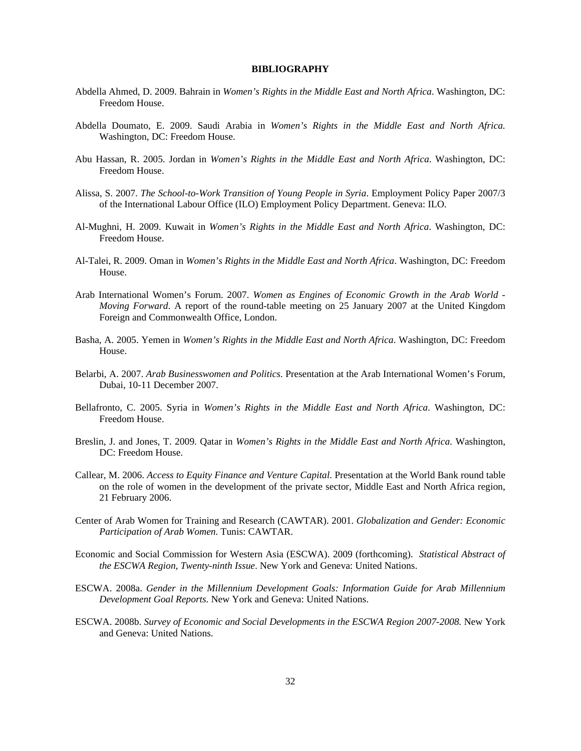### **BIBLIOGRAPHY**

- Abdella Ahmed, D. 2009. Bahrain in *Women's Rights in the Middle East and North Africa*. Washington, DC: Freedom House.
- Abdella Doumato, E. 2009. Saudi Arabia in *Women's Rights in the Middle East and North Africa.*  Washington, DC: Freedom House.
- Abu Hassan, R. 2005. Jordan in *Women's Rights in the Middle East and North Africa*. Washington, DC: Freedom House.
- Alissa, S. 2007. *The School-to-Work Transition of Young People in Syria*. Employment Policy Paper 2007/3 of the International Labour Office (ILO) Employment Policy Department. Geneva: ILO.
- Al-Mughni, H. 2009. Kuwait in *Women's Rights in the Middle East and North Africa*. Washington, DC: Freedom House.
- Al-Talei, R. 2009. Oman in *Women's Rights in the Middle East and North Africa*. Washington, DC: Freedom House.
- Arab International Women's Forum. 2007. *Women as Engines of Economic Growth in the Arab World Moving Forward*. A report of the round-table meeting on 25 January 2007 at the United Kingdom Foreign and Commonwealth Office, London.
- Basha, A. 2005. Yemen in *Women's Rights in the Middle East and North Africa*. Washington, DC: Freedom House.
- Belarbi, A. 2007. *Arab Businesswomen and Politics*. Presentation at the Arab International Women's Forum, Dubai, 10-11 December 2007.
- Bellafronto, C. 2005. Syria in *Women's Rights in the Middle East and North Africa*. Washington, DC: Freedom House.
- Breslin, J. and Jones, T. 2009. Qatar in *Women's Rights in the Middle East and North Africa*. Washington, DC: Freedom House.
- Callear, M. 2006. *Access to Equity Finance and Venture Capital*. Presentation at the World Bank round table on the role of women in the development of the private sector, Middle East and North Africa region, 21 February 2006.
- Center of Arab Women for Training and Research (CAWTAR). 2001. *Globalization and Gender: Economic Participation of Arab Women.* Tunis: CAWTAR.
- Economic and Social Commission for Western Asia (ESCWA). 2009 (forthcoming). *Statistical Abstract of the ESCWA Region, Twenty-ninth Issue*. New York and Geneva: United Nations.
- ESCWA. 2008a. *Gender in the Millennium Development Goals: Information Guide for Arab Millennium Development Goal Reports.* New York and Geneva: United Nations.
- ESCWA. 2008b. *Survey of Economic and Social Developments in the ESCWA Region 2007-2008.* New York and Geneva: United Nations.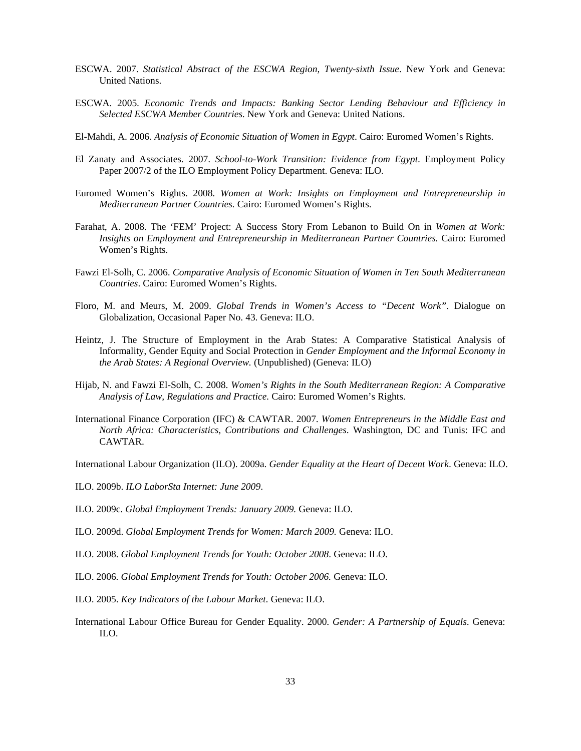- ESCWA. 2007. *Statistical Abstract of the ESCWA Region, Twenty-sixth Issue*. New York and Geneva: United Nations.
- ESCWA. 2005. *Economic Trends and Impacts: Banking Sector Lending Behaviour and Efficiency in Selected ESCWA Member Countries*. New York and Geneva: United Nations.
- El-Mahdi, A. 2006. *Analysis of Economic Situation of Women in Egypt*. Cairo: Euromed Women's Rights.
- El Zanaty and Associates. 2007. *School-to-Work Transition: Evidence from Egypt*. Employment Policy Paper 2007/2 of the ILO Employment Policy Department. Geneva: ILO.
- Euromed Women's Rights. 2008. *Women at Work: Insights on Employment and Entrepreneurship in Mediterranean Partner Countries.* Cairo: Euromed Women's Rights.
- Farahat, A. 2008. The 'FEM' Project: A Success Story From Lebanon to Build On in *Women at Work: Insights on Employment and Entrepreneurship in Mediterranean Partner Countries.* Cairo: Euromed Women's Rights.
- Fawzi El-Solh, C. 2006. *Comparative Analysis of Economic Situation of Women in Ten South Mediterranean Countries*. Cairo: Euromed Women's Rights.
- Floro, M. and Meurs, M. 2009. *Global Trends in Women's Access to "Decent Work"*. Dialogue on Globalization, Occasional Paper No. 43. Geneva: ILO.
- Heintz, J. The Structure of Employment in the Arab States: A Comparative Statistical Analysis of Informality, Gender Equity and Social Protection in *Gender Employment and the Informal Economy in the Arab States: A Regional Overview.* (Unpublished) (Geneva: ILO)
- Hijab, N. and Fawzi El-Solh, C. 2008. *Women's Rights in the South Mediterranean Region: A Comparative Analysis of Law, Regulations and Practice.* Cairo: Euromed Women's Rights.
- International Finance Corporation (IFC) & CAWTAR. 2007. *Women Entrepreneurs in the Middle East and North Africa: Characteristics, Contributions and Challenges*. Washington, DC and Tunis: IFC and CAWTAR.
- International Labour Organization (ILO). 2009a. *Gender Equality at the Heart of Decent Work*. Geneva: ILO.
- ILO. 2009b. *ILO LaborSta Internet: June 2009*.
- ILO. 2009c. *Global Employment Trends: January 2009.* Geneva: ILO.
- ILO. 2009d. *Global Employment Trends for Women: March 2009.* Geneva: ILO.
- ILO. 2008. *Global Employment Trends for Youth: October 2008*. Geneva: ILO.
- ILO. 2006. *Global Employment Trends for Youth: October 2006.* Geneva: ILO.
- ILO. 2005. *Key Indicators of the Labour Market*. Geneva: ILO.
- International Labour Office Bureau for Gender Equality. 2000. *Gender: A Partnership of Equals*. Geneva: ILO.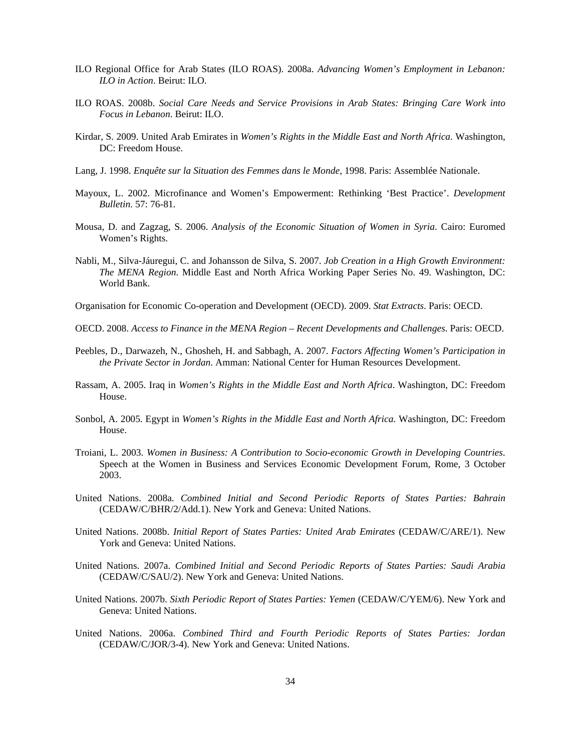- ILO Regional Office for Arab States (ILO ROAS). 2008a. *Advancing Women's Employment in Lebanon: ILO in Action*. Beirut: ILO.
- ILO ROAS. 2008b. *Social Care Needs and Service Provisions in Arab States: Bringing Care Work into Focus in Lebanon*. Beirut: ILO.
- Kirdar, S. 2009. United Arab Emirates in *Women's Rights in the Middle East and North Africa*. Washington, DC: Freedom House.
- Lang, J. 1998. *Enquête sur la Situation des Femmes dans le Monde*, 1998. Paris: Assemblée Nationale.
- Mayoux, L. 2002. Microfinance and Women's Empowerment: Rethinking 'Best Practice'. *Development Bulletin*. 57: 76-81.
- Mousa, D. and Zagzag, S. 2006. *Analysis of the Economic Situation of Women in Syria*. Cairo: Euromed Women's Rights.
- Nabli, M., Silva-Jáuregui, C. and Johansson de Silva, S. 2007. *Job Creation in a High Growth Environment: The MENA Region*. Middle East and North Africa Working Paper Series No. 49. Washington, DC: World Bank.
- Organisation for Economic Co-operation and Development (OECD). 2009. *Stat Extracts*. Paris: OECD.
- OECD. 2008. *Access to Finance in the MENA Region Recent Developments and Challenges*. Paris: OECD.
- Peebles, D., Darwazeh, N., Ghosheh, H. and Sabbagh, A. 2007. *Factors Affecting Women's Participation in the Private Sector in Jordan*. Amman: National Center for Human Resources Development.
- Rassam, A. 2005. Iraq in *Women's Rights in the Middle East and North Africa*. Washington, DC: Freedom House.
- Sonbol, A. 2005. Egypt in *Women's Rights in the Middle East and North Africa*. Washington, DC: Freedom House.
- Troiani, L. 2003. *Women in Business: A Contribution to Socio-economic Growth in Developing Countries*. Speech at the Women in Business and Services Economic Development Forum, Rome, 3 October 2003.
- United Nations. 2008a. *Combined Initial and Second Periodic Reports of States Parties: Bahrain*  (CEDAW/C/BHR/2/Add.1). New York and Geneva: United Nations.
- United Nations. 2008b. *Initial Report of States Parties: United Arab Emirates* (CEDAW/C/ARE/1). New York and Geneva: United Nations.
- United Nations. 2007a. *Combined Initial and Second Periodic Reports of States Parties: Saudi Arabia*  (CEDAW/C/SAU/2). New York and Geneva: United Nations.
- United Nations. 2007b. *Sixth Periodic Report of States Parties: Yemen* (CEDAW/C/YEM/6). New York and Geneva: United Nations.
- United Nations. 2006a. *Combined Third and Fourth Periodic Reports of States Parties: Jordan*  (CEDAW/C/JOR/3-4). New York and Geneva: United Nations.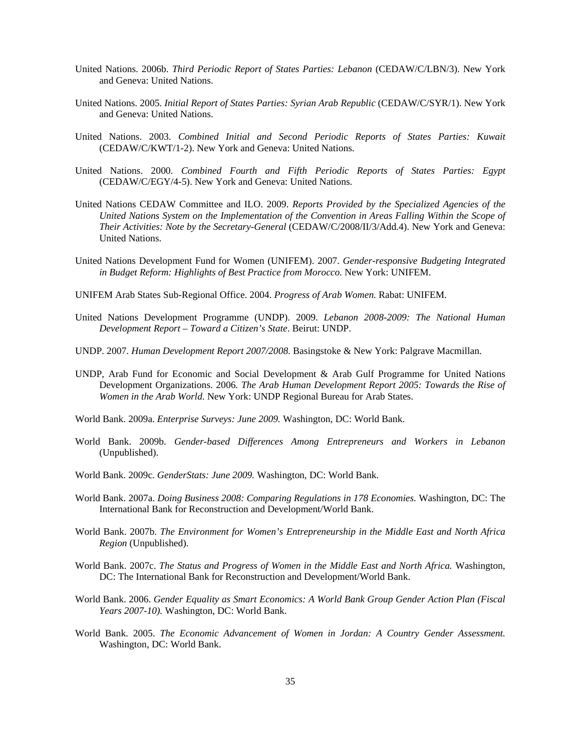- United Nations. 2006b. *Third Periodic Report of States Parties: Lebanon* (CEDAW/C/LBN/3). New York and Geneva: United Nations.
- United Nations. 2005. *Initial Report of States Parties: Syrian Arab Republic* (CEDAW/C/SYR/1). New York and Geneva: United Nations.
- United Nations. 2003. *Combined Initial and Second Periodic Reports of States Parties: Kuwait*  (CEDAW/C/KWT/1-2). New York and Geneva: United Nations.
- United Nations. 2000. *Combined Fourth and Fifth Periodic Reports of States Parties: Egypt*  (CEDAW/C/EGY/4-5). New York and Geneva: United Nations.
- United Nations CEDAW Committee and ILO. 2009. *Reports Provided by the Specialized Agencies of the United Nations System on the Implementation of the Convention in Areas Falling Within the Scope of Their Activities: Note by the Secretary-General* (CEDAW/C/2008/II/3/Add.4). New York and Geneva: United Nations.
- United Nations Development Fund for Women (UNIFEM). 2007. *Gender-responsive Budgeting Integrated in Budget Reform: Highlights of Best Practice from Morocco.* New York: UNIFEM.
- UNIFEM Arab States Sub-Regional Office. 2004. *Progress of Arab Women.* Rabat: UNIFEM.
- United Nations Development Programme (UNDP). 2009. *Lebanon 2008-2009: The National Human Development Report – Toward a Citizen's State*. Beirut: UNDP.
- UNDP. 2007. *Human Development Report 2007/2008*. Basingstoke & New York: Palgrave Macmillan.
- UNDP, Arab Fund for Economic and Social Development & Arab Gulf Programme for United Nations Development Organizations. 2006*. The Arab Human Development Report 2005: Towards the Rise of Women in the Arab World.* New York: UNDP Regional Bureau for Arab States.
- World Bank. 2009a. *Enterprise Surveys: June 2009.* Washington, DC: World Bank.
- World Bank. 2009b. *Gender-based Differences Among Entrepreneurs and Workers in Lebanon*  (Unpublished).
- World Bank. 2009c. *GenderStats: June 2009.* Washington, DC: World Bank.
- World Bank. 2007a. *Doing Business 2008: Comparing Regulations in 178 Economies.* Washington, DC: The International Bank for Reconstruction and Development/World Bank.
- World Bank. 2007b. *The Environment for Women's Entrepreneurship in the Middle East and North Africa Region* (Unpublished).
- World Bank. 2007c. *The Status and Progress of Women in the Middle East and North Africa.* Washington, DC: The International Bank for Reconstruction and Development/World Bank.
- World Bank. 2006. *Gender Equality as Smart Economics: A World Bank Group Gender Action Plan (Fiscal Years 2007-10).* Washington, DC: World Bank.
- World Bank. 2005. *The Economic Advancement of Women in Jordan: A Country Gender Assessment.* Washington, DC: World Bank.